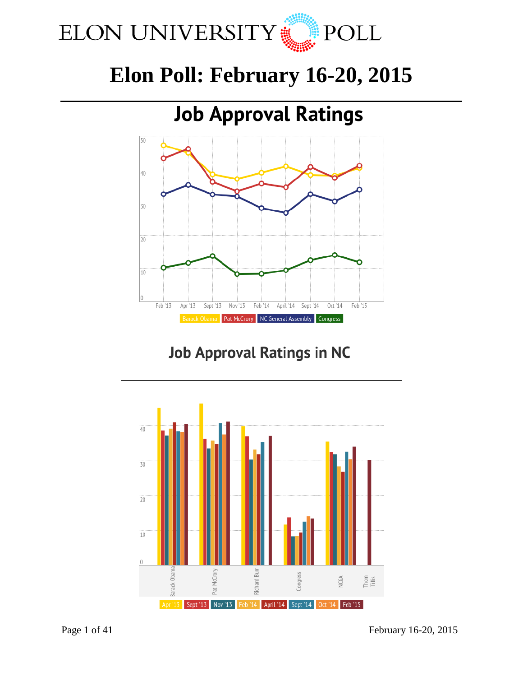

# **Elon Poll: February 16-20, 2015**

## **Job Approval Ratings** 50  $40$ 30 20 10  $|0\rangle$ Feb '13 Apr '13 Feb '14 Sept '14  $Oct<sup>14</sup>$ Feb '15 Sept '13 Nov '13 April '14 **Barack Obama** Pat McCrory | NC General Assembly | Congress

# **Job Approval Ratings in NC**



Page 1 of 41 February 16-20, 2015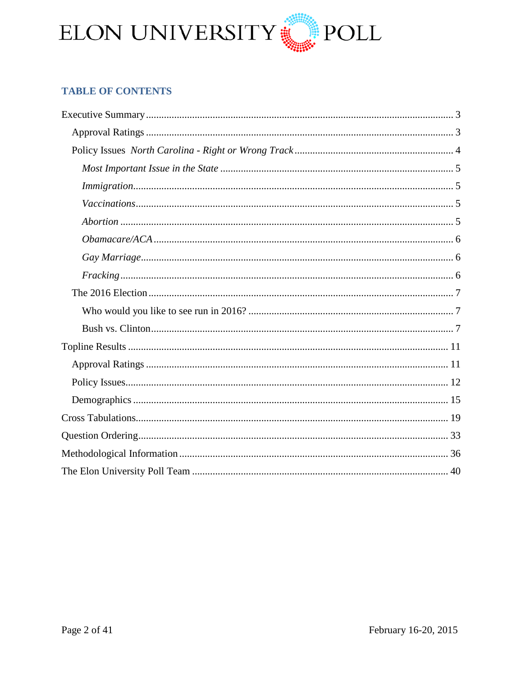

## **TABLE OF CONTENTS**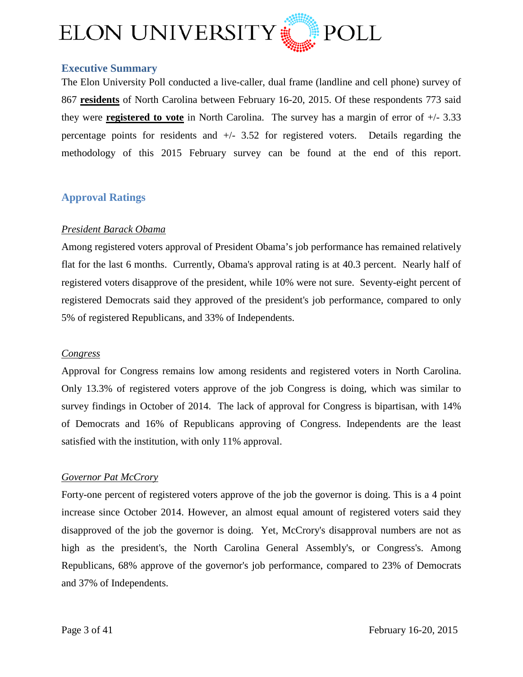

## <span id="page-2-0"></span>**Executive Summary**

The Elon University Poll conducted a live-caller, dual frame (landline and cell phone) survey of 867 **residents** of North Carolina between February 16-20, 2015. Of these respondents 773 said they were **registered to vote** in North Carolina. The survey has a margin of error of +/- 3.33 percentage points for residents and +/- 3.52 for registered voters. Details regarding the methodology of this 2015 February survey can be found at the end of this report.

## <span id="page-2-1"></span>**Approval Ratings**

## *President Barack Obama*

Among registered voters approval of President Obama's job performance has remained relatively flat for the last 6 months. Currently, Obama's approval rating is at 40.3 percent. Nearly half of registered voters disapprove of the president, while 10% were not sure. Seventy-eight percent of registered Democrats said they approved of the president's job performance, compared to only 5% of registered Republicans, and 33% of Independents.

#### *Congress*

Approval for Congress remains low among residents and registered voters in North Carolina. Only 13.3% of registered voters approve of the job Congress is doing, which was similar to survey findings in October of 2014. The lack of approval for Congress is bipartisan, with 14% of Democrats and 16% of Republicans approving of Congress. Independents are the least satisfied with the institution, with only 11% approval.

#### *Governor Pat McCrory*

Forty-one percent of registered voters approve of the job the governor is doing. This is a 4 point increase since October 2014. However, an almost equal amount of registered voters said they disapproved of the job the governor is doing. Yet, McCrory's disapproval numbers are not as high as the president's, the North Carolina General Assembly's, or Congress's. Among Republicans, 68% approve of the governor's job performance, compared to 23% of Democrats and 37% of Independents.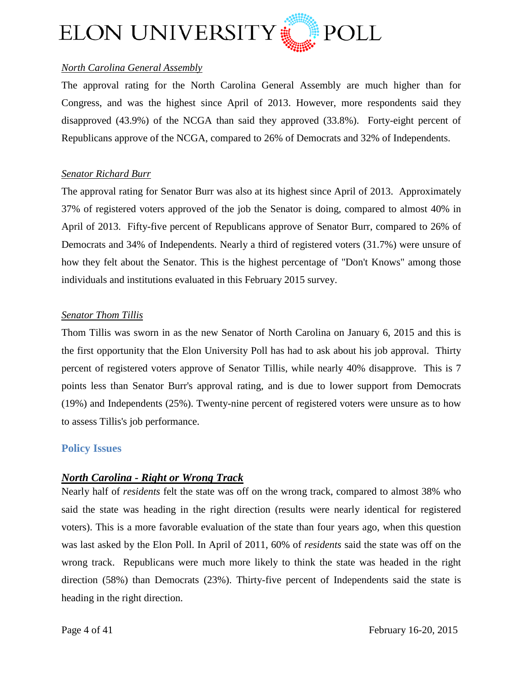

## *North Carolina General Assembly*

The approval rating for the North Carolina General Assembly are much higher than for Congress, and was the highest since April of 2013. However, more respondents said they disapproved (43.9%) of the NCGA than said they approved (33.8%). Forty-eight percent of Republicans approve of the NCGA, compared to 26% of Democrats and 32% of Independents.

## *Senator Richard Burr*

The approval rating for Senator Burr was also at its highest since April of 2013. Approximately 37% of registered voters approved of the job the Senator is doing, compared to almost 40% in April of 2013. Fifty-five percent of Republicans approve of Senator Burr, compared to 26% of Democrats and 34% of Independents. Nearly a third of registered voters (31.7%) were unsure of how they felt about the Senator. This is the highest percentage of "Don't Knows" among those individuals and institutions evaluated in this February 2015 survey.

## *Senator Thom Tillis*

Thom Tillis was sworn in as the new Senator of North Carolina on January 6, 2015 and this is the first opportunity that the Elon University Poll has had to ask about his job approval. Thirty percent of registered voters approve of Senator Tillis, while nearly 40% disapprove. This is 7 points less than Senator Burr's approval rating, and is due to lower support from Democrats (19%) and Independents (25%). Twenty-nine percent of registered voters were unsure as to how to assess Tillis's job performance.

## <span id="page-3-0"></span>**Policy Issues**

## *North Carolina - Right or Wrong Track*

Nearly half of *residents* felt the state was off on the wrong track, compared to almost 38% who said the state was heading in the right direction (results were nearly identical for registered voters). This is a more favorable evaluation of the state than four years ago, when this question was last asked by the Elon Poll. In April of 2011, 60% of *residents* said the state was off on the wrong track. Republicans were much more likely to think the state was headed in the right direction (58%) than Democrats (23%). Thirty-five percent of Independents said the state is heading in the right direction.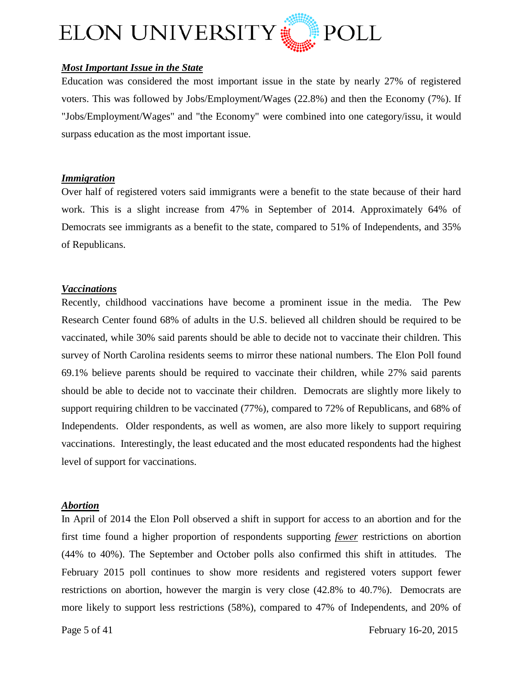

## <span id="page-4-0"></span>*Most Important Issue in the State*

Education was considered the most important issue in the state by nearly 27% of registered voters. This was followed by Jobs/Employment/Wages (22.8%) and then the Economy (7%). If "Jobs/Employment/Wages" and "the Economy" were combined into one category/issu, it would surpass education as the most important issue.

#### <span id="page-4-1"></span>*Immigration*

Over half of registered voters said immigrants were a benefit to the state because of their hard work. This is a slight increase from 47% in September of 2014. Approximately 64% of Democrats see immigrants as a benefit to the state, compared to 51% of Independents, and 35% of Republicans.

#### <span id="page-4-2"></span>*Vaccinations*

Recently, childhood vaccinations have become a prominent issue in the media. The Pew Research Center found 68% of adults in the U.S. believed all children should be required to be vaccinated, while 30% said parents should be able to decide not to vaccinate their children. This survey of North Carolina residents seems to mirror these national numbers. The Elon Poll found 69.1% believe parents should be required to vaccinate their children, while 27% said parents should be able to decide not to vaccinate their children. Democrats are slightly more likely to support requiring children to be vaccinated (77%), compared to 72% of Republicans, and 68% of Independents. Older respondents, as well as women, are also more likely to support requiring vaccinations. Interestingly, the least educated and the most educated respondents had the highest level of support for vaccinations.

#### <span id="page-4-3"></span>*Abortion*

In April of 2014 the Elon Poll observed a shift in support for access to an abortion and for the first time found a higher proportion of respondents supporting *fewer* restrictions on abortion (44% to 40%). The September and October polls also confirmed this shift in attitudes. The February 2015 poll continues to show more residents and registered voters support fewer restrictions on abortion, however the margin is very close (42.8% to 40.7%). Democrats are more likely to support less restrictions (58%), compared to 47% of Independents, and 20% of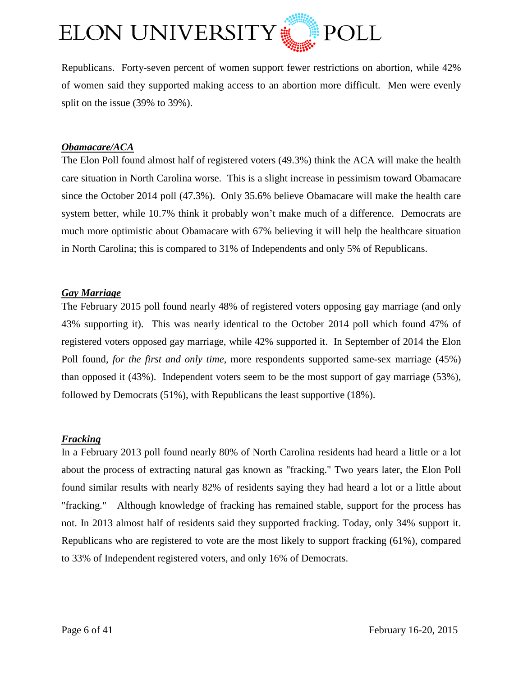

Republicans. Forty-seven percent of women support fewer restrictions on abortion, while 42% of women said they supported making access to an abortion more difficult. Men were evenly split on the issue (39% to 39%).

#### <span id="page-5-0"></span>*Obamacare/ACA*

The Elon Poll found almost half of registered voters (49.3%) think the ACA will make the health care situation in North Carolina worse. This is a slight increase in pessimism toward Obamacare since the October 2014 poll (47.3%). Only 35.6% believe Obamacare will make the health care system better, while 10.7% think it probably won't make much of a difference. Democrats are much more optimistic about Obamacare with 67% believing it will help the healthcare situation in North Carolina; this is compared to 31% of Independents and only 5% of Republicans.

#### <span id="page-5-1"></span>*Gay Marriage*

The February 2015 poll found nearly 48% of registered voters opposing gay marriage (and only 43% supporting it). This was nearly identical to the October 2014 poll which found 47% of registered voters opposed gay marriage, while 42% supported it. In September of 2014 the Elon Poll found, *for the first and only time*, more respondents supported same-sex marriage (45%) than opposed it (43%). Independent voters seem to be the most support of gay marriage (53%), followed by Democrats (51%), with Republicans the least supportive (18%).

## <span id="page-5-2"></span>*Fracking*

In a February 2013 poll found nearly 80% of North Carolina residents had heard a little or a lot about the process of extracting natural gas known as "fracking." Two years later, the Elon Poll found similar results with nearly 82% of residents saying they had heard a lot or a little about "fracking." Although knowledge of fracking has remained stable, support for the process has not. In 2013 almost half of residents said they supported fracking. Today, only 34% support it. Republicans who are registered to vote are the most likely to support fracking (61%), compared to 33% of Independent registered voters, and only 16% of Democrats.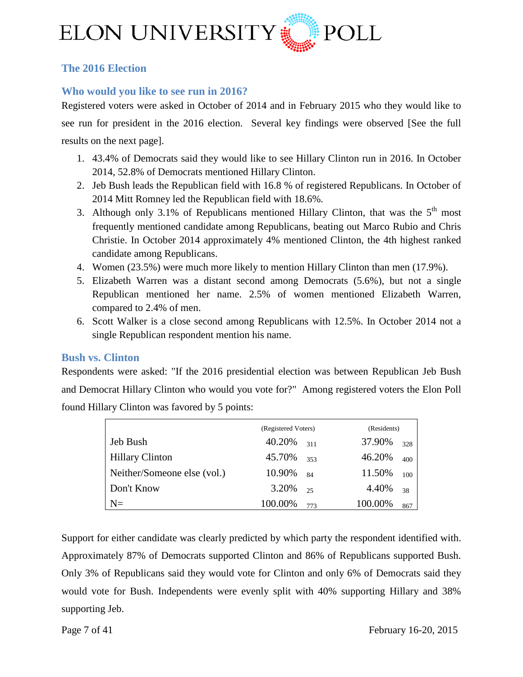

## <span id="page-6-0"></span>**The 2016 Election**

## <span id="page-6-1"></span>**Who would you like to see run in 2016?**

Registered voters were asked in October of 2014 and in February 2015 who they would like to see run for president in the 2016 election. Several key findings were observed [See the full results on the next page].

- 1. 43.4% of Democrats said they would like to see Hillary Clinton run in 2016. In October 2014, 52.8% of Democrats mentioned Hillary Clinton.
- 2. Jeb Bush leads the Republican field with 16.8 % of registered Republicans. In October of 2014 Mitt Romney led the Republican field with 18.6%.
- 3. Although only 3.1% of Republicans mentioned Hillary Clinton, that was the  $5<sup>th</sup>$  most frequently mentioned candidate among Republicans, beating out Marco Rubio and Chris Christie. In October 2014 approximately 4% mentioned Clinton, the 4th highest ranked candidate among Republicans.
- 4. Women (23.5%) were much more likely to mention Hillary Clinton than men (17.9%).
- 5. Elizabeth Warren was a distant second among Democrats (5.6%), but not a single Republican mentioned her name. 2.5% of women mentioned Elizabeth Warren, compared to 2.4% of men.
- 6. Scott Walker is a close second among Republicans with 12.5%. In October 2014 not a single Republican respondent mention his name.

## <span id="page-6-2"></span>**Bush vs. Clinton**

Respondents were asked: "If the 2016 presidential election was between Republican Jeb Bush and Democrat Hillary Clinton who would you vote for?" Among registered voters the Elon Poll found Hillary Clinton was favored by 5 points:

|                             | (Registered Voters) |     | (Residents) |     |
|-----------------------------|---------------------|-----|-------------|-----|
| Jeb Bush                    | 40.20%              | 311 | 37.90%      | 328 |
| <b>Hillary Clinton</b>      | 45.70%              | 353 | 46.20%      | 400 |
| Neither/Someone else (vol.) | 10.90%              | 84  | 11.50%      | 100 |
| Don't Know                  | 3.20%               | 25  | 4.40%       | 38  |
| $N =$                       | 100.00%             | 773 | 100.00%     | 867 |

Support for either candidate was clearly predicted by which party the respondent identified with. Approximately 87% of Democrats supported Clinton and 86% of Republicans supported Bush. Only 3% of Republicans said they would vote for Clinton and only 6% of Democrats said they would vote for Bush. Independents were evenly split with 40% supporting Hillary and 38% supporting Jeb.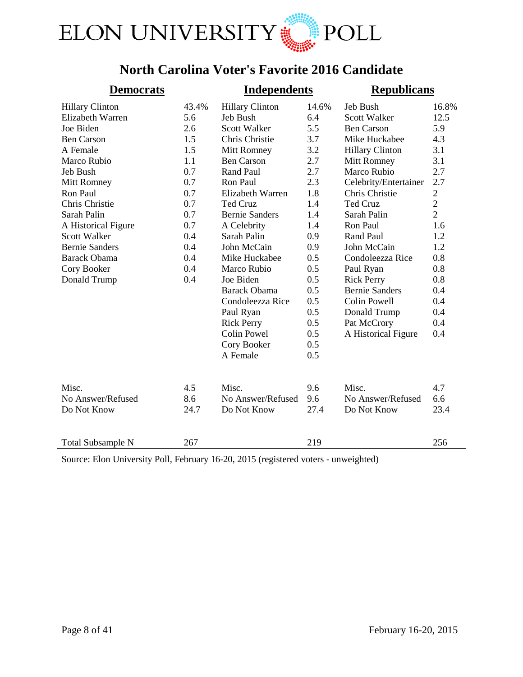

# **North Carolina Voter's Favorite 2016 Candidate**

| <b>Democrats</b>         |       | <b>Independents</b>    |       | <b>Republicans</b>     |                |
|--------------------------|-------|------------------------|-------|------------------------|----------------|
| <b>Hillary Clinton</b>   | 43.4% | <b>Hillary Clinton</b> | 14.6% | Jeb Bush               | 16.8%          |
| Elizabeth Warren         | 5.6   | Jeb Bush               | 6.4   | Scott Walker           | 12.5           |
| Joe Biden                | 2.6   | <b>Scott Walker</b>    | 5.5   | <b>Ben Carson</b>      | 5.9            |
| <b>Ben Carson</b>        | 1.5   | Chris Christie         | 3.7   | Mike Huckabee          | 4.3            |
| A Female                 | 1.5   | Mitt Romney            | 3.2   | <b>Hillary Clinton</b> | 3.1            |
| Marco Rubio              | 1.1   | <b>Ben Carson</b>      | 2.7   | Mitt Romney            | 3.1            |
| Jeb Bush                 | 0.7   | Rand Paul              | 2.7   | Marco Rubio            | 2.7            |
| Mitt Romney              | 0.7   | Ron Paul               | 2.3   | Celebrity/Entertainer  | 2.7            |
| Ron Paul                 | 0.7   | Elizabeth Warren       | 1.8   | Chris Christie         | $\mathbf{2}$   |
| Chris Christie           | 0.7   | <b>Ted Cruz</b>        | 1.4   | <b>Ted Cruz</b>        | $\overline{c}$ |
| Sarah Palin              | 0.7   | <b>Bernie Sanders</b>  | 1.4   | Sarah Palin            | $\overline{2}$ |
| A Historical Figure      | 0.7   | A Celebrity            | 1.4   | Ron Paul               | 1.6            |
| <b>Scott Walker</b>      | 0.4   | Sarah Palin            | 0.9   | Rand Paul              | 1.2            |
| <b>Bernie Sanders</b>    | 0.4   | John McCain            | 0.9   | John McCain            | 1.2            |
| <b>Barack Obama</b>      | 0.4   | Mike Huckabee          | 0.5   | Condoleezza Rice       | 0.8            |
| Cory Booker              | 0.4   | Marco Rubio            | 0.5   | Paul Ryan              | 0.8            |
| Donald Trump             | 0.4   | Joe Biden              | 0.5   | <b>Rick Perry</b>      | 0.8            |
|                          |       | <b>Barack Obama</b>    | 0.5   | <b>Bernie Sanders</b>  | 0.4            |
|                          |       | Condoleezza Rice       | 0.5   | <b>Colin Powell</b>    | 0.4            |
|                          |       | Paul Ryan              | 0.5   | Donald Trump           | 0.4            |
|                          |       | <b>Rick Perry</b>      | 0.5   | Pat McCrory            | 0.4            |
|                          |       | <b>Colin Powel</b>     | 0.5   | A Historical Figure    | 0.4            |
|                          |       | Cory Booker            | 0.5   |                        |                |
|                          |       | A Female               | 0.5   |                        |                |
| Misc.                    | 4.5   | Misc.                  | 9.6   | Misc.                  | 4.7            |
| No Answer/Refused        | 8.6   | No Answer/Refused      | 9.6   | No Answer/Refused      | 6.6            |
| Do Not Know              | 24.7  | Do Not Know            | 27.4  | Do Not Know            | 23.4           |
|                          | 267   |                        | 219   |                        | 256            |
| <b>Total Subsample N</b> |       |                        |       |                        |                |

Source: Elon University Poll, February 16-20, 2015 (registered voters - unweighted)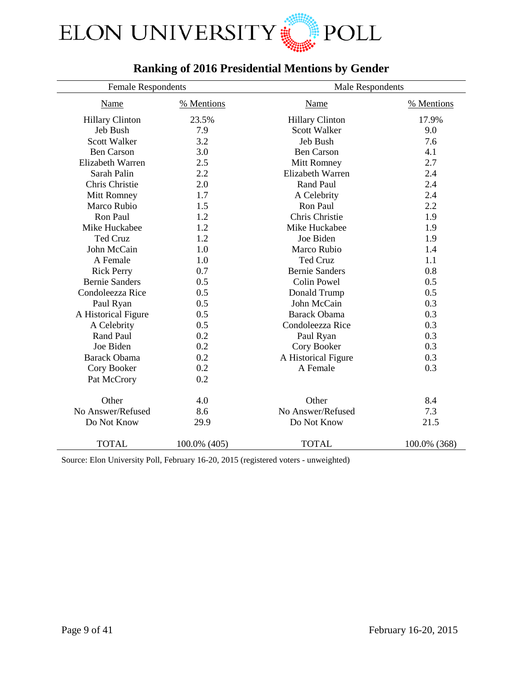

# **Ranking of 2016 Presidential Mentions by Gender**

| <b>Female Respondents</b> |              | Male Respondents       |              |
|---------------------------|--------------|------------------------|--------------|
| Name                      | % Mentions   | <b>Name</b>            | % Mentions   |
| <b>Hillary Clinton</b>    | 23.5%        | <b>Hillary Clinton</b> | 17.9%        |
| Jeb Bush                  | 7.9          | <b>Scott Walker</b>    | 9.0          |
| Scott Walker              | 3.2          | Jeb Bush               | 7.6          |
| <b>Ben Carson</b>         | 3.0          | <b>Ben Carson</b>      | 4.1          |
| Elizabeth Warren          | 2.5          | Mitt Romney            | 2.7          |
| Sarah Palin               | 2.2          | Elizabeth Warren       | 2.4          |
| Chris Christie            | 2.0          | <b>Rand Paul</b>       | 2.4          |
| Mitt Romney               | 1.7          | A Celebrity            | 2.4          |
| Marco Rubio               | 1.5          | Ron Paul               | 2.2          |
| Ron Paul                  | 1.2          | Chris Christie         | 1.9          |
| Mike Huckabee             | 1.2          | Mike Huckabee          | 1.9          |
| <b>Ted Cruz</b>           | 1.2          | Joe Biden              | 1.9          |
| John McCain               | 1.0          | Marco Rubio            | 1.4          |
| A Female                  | 1.0          | Ted Cruz               | 1.1          |
| <b>Rick Perry</b>         | 0.7          | <b>Bernie Sanders</b>  | 0.8          |
| <b>Bernie Sanders</b>     | 0.5          | Colin Powel            | 0.5          |
| Condoleezza Rice          | 0.5          | Donald Trump           | 0.5          |
| Paul Ryan                 | 0.5          | John McCain            | 0.3          |
| A Historical Figure       | 0.5          | <b>Barack Obama</b>    | 0.3          |
| A Celebrity               | 0.5          | Condoleezza Rice       | 0.3          |
| <b>Rand Paul</b>          | 0.2          | Paul Ryan              | 0.3          |
| Joe Biden                 | 0.2          | Cory Booker            | 0.3          |
| <b>Barack Obama</b>       | 0.2          | A Historical Figure    | 0.3          |
| Cory Booker               | 0.2          | A Female               | 0.3          |
| Pat McCrory               | 0.2          |                        |              |
| Other                     | 4.0          | Other                  | 8.4          |
| No Answer/Refused         | 8.6          | No Answer/Refused      | 7.3          |
| Do Not Know               | 29.9         | Do Not Know            | 21.5         |
| <b>TOTAL</b>              | 100.0% (405) | <b>TOTAL</b>           | 100.0% (368) |

Source: Elon University Poll, February 16-20, 2015 (registered voters - unweighted)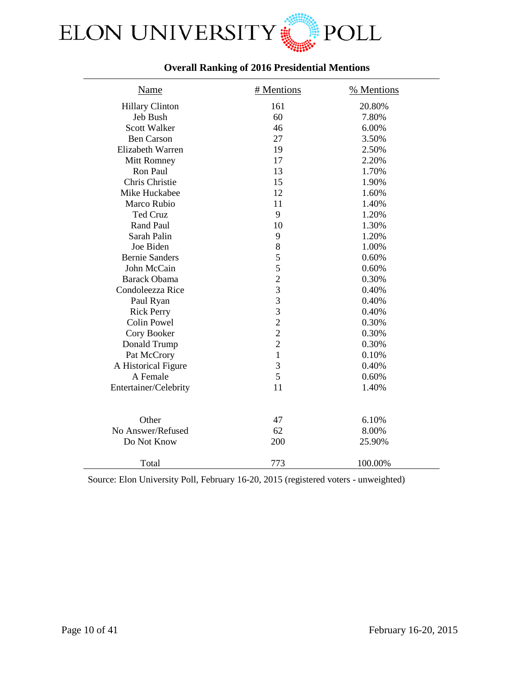

## **Overall Ranking of 2016 Presidential Mentions**

| <b>Name</b>            | # Mentions     | % Mentions |
|------------------------|----------------|------------|
| <b>Hillary Clinton</b> | 161            | 20.80%     |
| Jeb Bush               | 60             | 7.80%      |
| <b>Scott Walker</b>    | 46             | 6.00%      |
| <b>Ben Carson</b>      | 27             | 3.50%      |
| Elizabeth Warren       | 19             | 2.50%      |
| Mitt Romney            | 17             | 2.20%      |
| Ron Paul               | 13             | 1.70%      |
| Chris Christie         | 15             | 1.90%      |
| Mike Huckabee          | 12             | 1.60%      |
| Marco Rubio            | 11             | 1.40%      |
| Ted Cruz               | 9              | 1.20%      |
| Rand Paul              | 10             | 1.30%      |
| Sarah Palin            | 9              | 1.20%      |
| Joe Biden              | 8              | 1.00%      |
| <b>Bernie Sanders</b>  | 5              | 0.60%      |
| John McCain            | 5              | 0.60%      |
| <b>Barack Obama</b>    | $\overline{2}$ | 0.30%      |
| Condoleezza Rice       | 3              | 0.40%      |
| Paul Ryan              | 3              | 0.40%      |
| <b>Rick Perry</b>      | 3              | 0.40%      |
| <b>Colin Powel</b>     | $\frac{2}{2}$  | 0.30%      |
| Cory Booker            |                | 0.30%      |
| Donald Trump           | $\overline{2}$ | 0.30%      |
| Pat McCrory            | $\mathbf{1}$   | 0.10%      |
| A Historical Figure    | 3              | 0.40%      |
| A Female               | 5              | 0.60%      |
| Entertainer/Celebrity  | 11             | 1.40%      |
|                        |                |            |
| Other                  | 47             | 6.10%      |
| No Answer/Refused      | 62             | 8.00%      |
| Do Not Know            | 200            | 25.90%     |
| Total                  | 773            | 100.00%    |

Source: Elon University Poll, February 16-20, 2015 (registered voters - unweighted)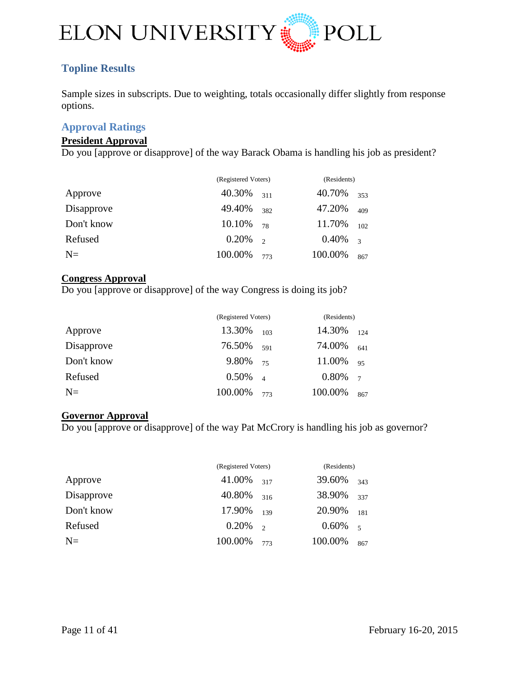

## <span id="page-10-0"></span>**Topline Results**

Sample sizes in subscripts. Due to weighting, totals occasionally differ slightly from response options.

## <span id="page-10-1"></span>**Approval Ratings**

#### **President Approval**

Do you [approve or disapprove] of the way Barack Obama is handling his job as president?

|            | (Registered Voters) |               | (Residents) |               |
|------------|---------------------|---------------|-------------|---------------|
| Approve    | 40.30%              | 311           | 40.70%      | 353           |
| Disapprove | 49.40%              | 382           | 47.20%      | 409           |
| Don't know | 10.10%              | 78            | 11.70%      | 102           |
| Refused    | 0.20%               | $\mathcal{L}$ | 0.40%       | $\mathcal{R}$ |
| $N=$       | 100.00%             | 773           | 100.00%     | 867           |

#### **Congress Approval**

Do you [approve or disapprove] of the way Congress is doing its job?

|            | (Registered Voters) | (Residents)    |         |                |
|------------|---------------------|----------------|---------|----------------|
| Approve    | 13.30%              | 103            | 14.30%  | 124            |
| Disapprove | 76.50%              | 591            | 74.00%  | 641            |
| Don't know | 9.80%               | 75             | 11.00%  | 95             |
| Refused    | 0.50%               | $\overline{4}$ | 0.80%   | $\overline{7}$ |
| $N=$       | 100.00%             | 773            | 100.00% | 867            |

#### **Governor Approval**

Do you [approve or disapprove] of the way Pat McCrory is handling his job as governor?

|            | (Registered Voters) |                          | (Residents) |        |
|------------|---------------------|--------------------------|-------------|--------|
| Approve    | 41.00%              | 317                      | 39.60%      | 343    |
| Disapprove | 40.80%              | 316                      | 38.90%      | 337    |
| Don't know | 17.90%              | 139                      | 20.90%      | 181    |
| Refused    | 0.20%               | $\overline{\phantom{a}}$ | $0.60\%$    | $\sim$ |
| $N=$       | 100.00%             | 773                      | 100.00%     | 867    |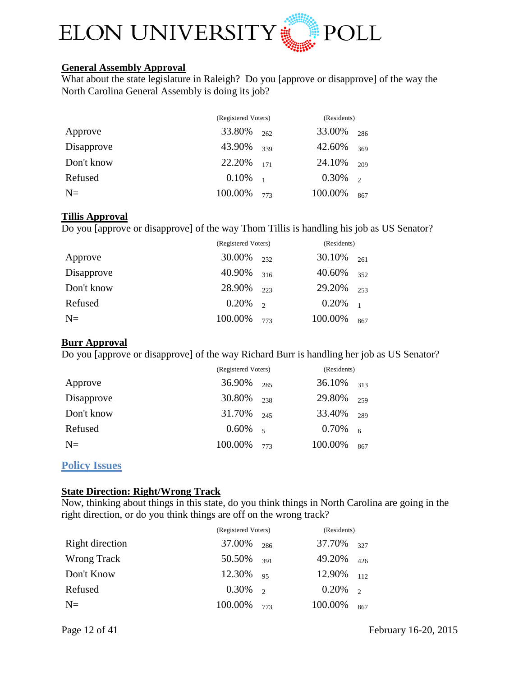

## **General Assembly Approval**

What about the state legislature in Raleigh? Do you [approve or disapprove] of the way the North Carolina General Assembly is doing its job?

|            | (Registered Voters) |     | (Residents) |          |
|------------|---------------------|-----|-------------|----------|
| Approve    | 33.80%              | 262 | 33.00%      | 286      |
| Disapprove | 43.90%              | 339 | 42.60%      | 369      |
| Don't know | 22.20% 171          |     | 24.10%      | 209      |
| Refused    | $0.10\%$ 1          |     | 0.30%       | $\gamma$ |
| $N=$       | 100.00%             | 773 | 100.00%     | 867      |

#### **Tillis Approval**

Do you [approve or disapprove] of the way Thom Tillis is handling his job as US Senator?

|            | (Registered Voters) | (Residents) |         |                |
|------------|---------------------|-------------|---------|----------------|
| Approve    | 30.00%              | 232         | 30.10%  | 261            |
| Disapprove | 40.90%              | 316         | 40.60%  | 352            |
| Don't know | 28.90%              | 223         | 29.20%  | 253            |
| Refused    | 0.20%               | $\gamma$    | 0.20%   | $\overline{1}$ |
| $N=$       | 100.00%             | 773         | 100.00% | 867            |

## **Burr Approval**

Do you [approve or disapprove] of the way Richard Burr is handling her job as US Senator?

|            | (Registered Voters) |            | (Residents) |     |
|------------|---------------------|------------|-------------|-----|
| Approve    | 36.90%              | 285        | 36.10%      | 313 |
| Disapprove | 30.80%              | 238        | 29.80%      | 259 |
| Don't know | 31.70%              | 245        | 33.40%      | 289 |
| Refused    | $0.60\%$            | $\sqrt{5}$ | 0.70%       | 6   |
| $N=$       | 100.00%             | 773        | 100.00%     | 867 |

## <span id="page-11-0"></span>**Policy Issues**

## **State Direction: Right/Wrong Track**

Now, thinking about things in this state, do you think things in North Carolina are going in the right direction, or do you think things are off on the wrong track?

|                 | (Registered Voters) |     | (Residents) |                |
|-----------------|---------------------|-----|-------------|----------------|
| Right direction | 37.00%              | 286 | 37.70%      | 327            |
| Wrong Track     | 50.50%              | 391 | 49.20%      | 426            |
| Don't Know      | 12.30%              | 95  | 12.90%      | 112            |
| Refused         | $0.30\%$ 2          |     | 0.20%       | $\overline{2}$ |
| $N=$            | 100.00%             | 773 | 100.00%     | 867            |

Page 12 of 41 February 16-20, 2015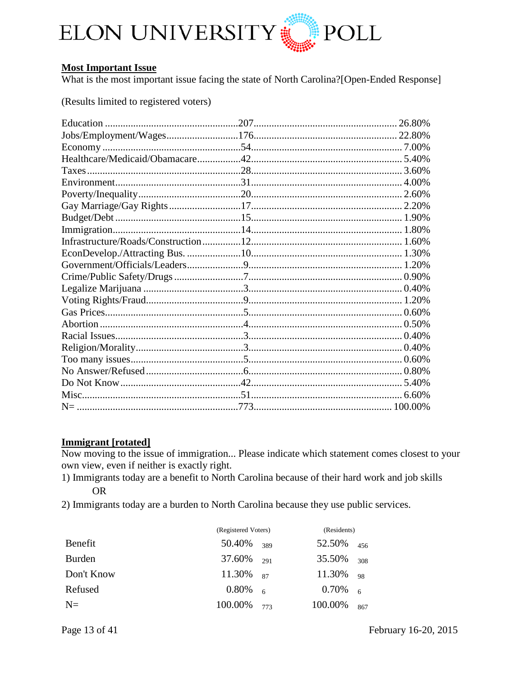

#### **Most Important Issue**

What is the most important issue facing the state of North Carolina?[Open-Ended Response]

(Results limited to registered voters)

|  | 26.80% |
|--|--------|
|  |        |
|  |        |
|  |        |
|  |        |
|  |        |
|  |        |
|  |        |
|  |        |
|  |        |
|  |        |
|  |        |
|  |        |
|  |        |
|  |        |
|  |        |
|  |        |
|  |        |
|  |        |
|  |        |
|  |        |
|  |        |
|  |        |
|  |        |
|  |        |

#### **Immigrant** [rotated]

Now moving to the issue of immigration... Please indicate which statement comes closest to your own view, even if neither is exactly right.

- 1) Immigrants today are a benefit to North Carolina because of their hard work and job skills **OR**
- 2) Immigrants today are a burden to North Carolina because they use public services.

|               | (Registered Voters) |     | (Residents) |     |
|---------------|---------------------|-----|-------------|-----|
| Benefit       | 50.40%              | 389 | 52.50%      | 456 |
| <b>Burden</b> | 37.60%              | 291 | 35.50%      | 308 |
| Don't Know    | 11.30%              | 87  | 11.30%      | 98  |
| Refused       | $0.80\%$            | 6   | 0.70%       | - 6 |
| $N=$          | 100.00%             | 773 | 100.00%     | 867 |

Page 13 of 41

February 16-20, 2015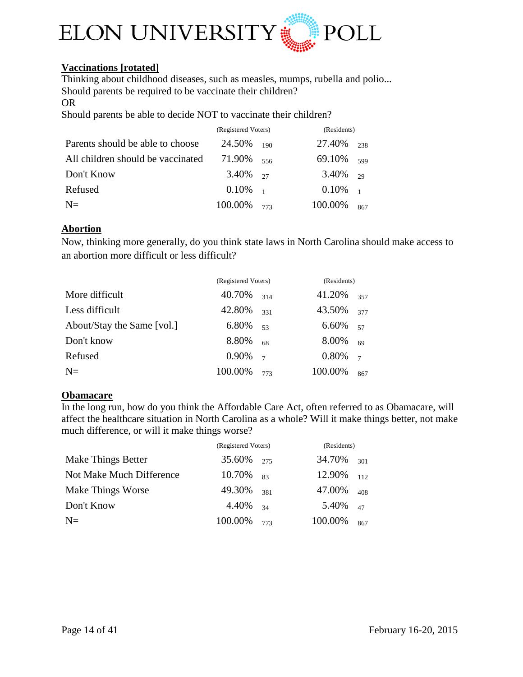

## **Vaccinations [rotated]**

Thinking about childhood diseases, such as measles, mumps, rubella and polio... Should parents be required to be vaccinate their children?

#### OR

Should parents be able to decide NOT to vaccinate their children?

|                                   | (Registered Voters) |     | (Residents) |                |
|-----------------------------------|---------------------|-----|-------------|----------------|
| Parents should be able to choose  | 24.50%              | 190 | 27.40%      | 238            |
| All children should be vaccinated | 71.90%              | 556 | 69.10%      | 599            |
| Don't Know                        | 3.40%               | 27  | 3.40%       | 29             |
| Refused                           | 0.10%               |     | $0.10\%$    | $\overline{1}$ |
| $N=$                              | 100.00%             | 773 | 100.00%     | 867            |

#### **Abortion**

Now, thinking more generally, do you think state laws in North Carolina should make access to an abortion more difficult or less difficult?

|                            | (Registered Voters) |                | (Residents) |                |
|----------------------------|---------------------|----------------|-------------|----------------|
| More difficult             | 40.70%              | 314            | 41.20%      | 357            |
| Less difficult             | 42.80%              | 331            | 43.50%      | 377            |
| About/Stay the Same [vol.] | 6.80%               | 53             | 6.60%       | 57             |
| Don't know                 | 8.80%               | 68             | 8.00%       | 69             |
| Refused                    | 0.90%               | $\overline{7}$ | 0.80%       | $\overline{7}$ |
| $N=$                       | 100.00%             | 773            | 100.00%     | 867            |

#### **Obamacare**

In the long run, how do you think the Affordable Care Act, often referred to as Obamacare, will affect the healthcare situation in North Carolina as a whole? Will it make things better, not make much difference, or will it make things worse?

|                          | (Registered Voters) |     | (Residents) |     |
|--------------------------|---------------------|-----|-------------|-----|
| Make Things Better       | 35.60% 275          |     | 34.70%      | 301 |
| Not Make Much Difference | 10.70%              | 83  | 12.90%      | 112 |
| Make Things Worse        | 49.30%              | 381 | 47.00%      | 408 |
| Don't Know               | 4.40%               | 34  | 5.40%       | 47  |
| $N=$                     | 100.00%             | 773 | 100.00%     | 867 |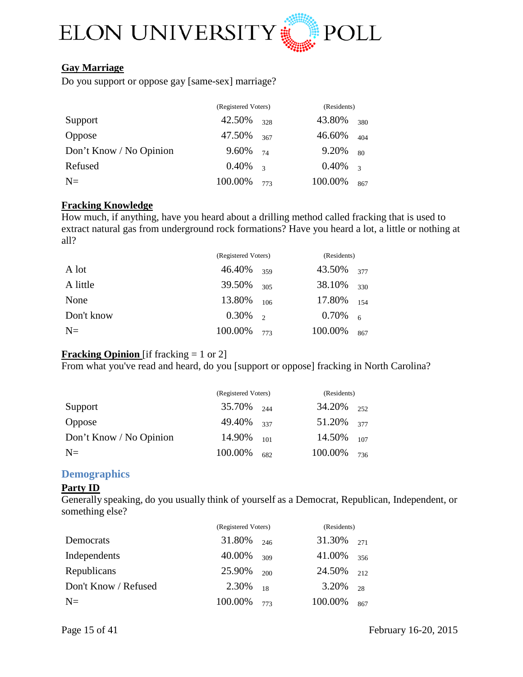

### **Gay Marriage**

Do you support or oppose gay [same-sex] marriage?

|                         | (Registered Voters) |               | (Residents) |                          |
|-------------------------|---------------------|---------------|-------------|--------------------------|
| Support                 | 42.50%              | 328           | 43.80%      | 380                      |
| <b>Oppose</b>           | 47.50%              | 367           | 46.60%      | 404                      |
| Don't Know / No Opinion | 9.60%               | 74            | 9.20%       | 80                       |
| Refused                 | 0.40%               | $\mathcal{R}$ | $0.40\%$    | $\overline{\mathcal{E}}$ |
| $N=$                    | 100.00%             | 773           | 100.00%     | 867                      |

#### **Fracking Knowledge**

How much, if anything, have you heard about a drilling method called fracking that is used to extract natural gas from underground rock formations? Have you heard a lot, a little or nothing at all?

|            | (Registered Voters) |                          | (Residents) |     |
|------------|---------------------|--------------------------|-------------|-----|
| A lot      | 46.40%              | 359                      | 43.50%      | 377 |
| A little   | 39.50%              | 305                      | 38.10%      | 330 |
| None       | 13.80%              | 106                      | 17.80%      | 154 |
| Don't know | 0.30%               | $\overline{\phantom{a}}$ | 0.70%       | 6   |
| $N=$       | 100.00%             | 773                      | 100.00%     | 867 |

## **Fracking Opinion** [if fracking = 1 or 2]

From what you've read and heard, do you [support or oppose] fracking in North Carolina?

|                         | (Registered Voters) |     | (Residents)     |     |
|-------------------------|---------------------|-----|-----------------|-----|
| Support                 | $35.70\%$ 244       |     | $34.20\%$ 252   |     |
| Oppose                  | 49.40% 337          |     | $51.20\%$ 377   |     |
| Don't Know / No Opinion | 14.90%              | 101 | 14.50% $_{107}$ |     |
| $N=$                    | 100.00%             | 682 | 100.00%         | 736 |

## <span id="page-14-0"></span>**Demographics**

#### **Party ID**

Generally speaking, do you usually think of yourself as a Democrat, Republican, Independent, or something else?

|                      | (Registered Voters) |     | (Residents) |     |
|----------------------|---------------------|-----|-------------|-----|
| Democrats            | 31.80%              | 246 | 31.30%      | 271 |
| Independents         | 40.00%              | 309 | 41.00%      | 356 |
| Republicans          | 25.90%              | 200 | 24.50%      | 212 |
| Don't Know / Refused | 2.30%               | 18  | 3.20%       | 28  |
| $N=$                 | 100.00%             | 773 | 100.00%     | 867 |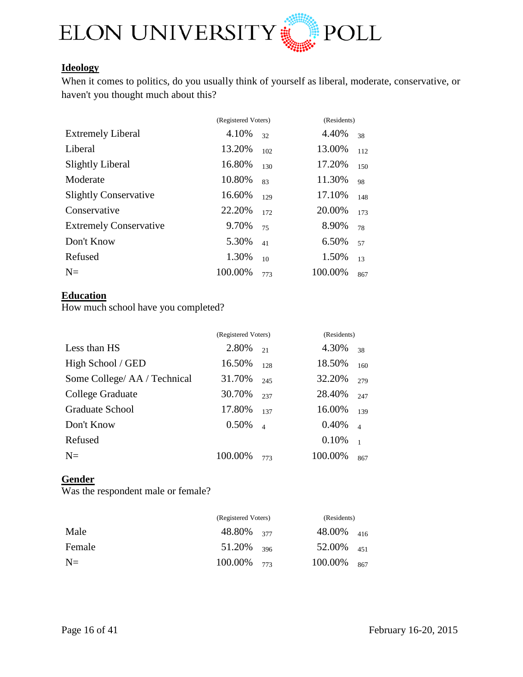

## **Ideology**

When it comes to politics, do you usually think of yourself as liberal, moderate, conservative, or haven't you thought much about this?

| 4.10%   | 32  | 4.40%               | 38          |
|---------|-----|---------------------|-------------|
| 13.20%  | 102 | 13.00%              | 112         |
| 16.80%  | 130 | 17.20%              | 150         |
| 10.80%  | 83  | 11.30%              | 98          |
| 16.60%  | 129 | 17.10%              | 148         |
| 22.20%  | 172 | 20.00%              | 173         |
| 9.70%   | 75  | 8.90%               | 78          |
| 5.30%   | 41  | 6.50%               | 57          |
| 1.30%   | 10  | 1.50%               | 13          |
| 100.00% | 773 | 100.00%             | 867         |
|         |     | (Registered Voters) | (Residents) |

## **Education**

How much school have you completed?

|                              | (Registered Voters) |                       | (Residents) |                |
|------------------------------|---------------------|-----------------------|-------------|----------------|
| Less than HS                 | 2.80%               | 2.1                   | 4.30%       | 38             |
| High School / GED            | 16.50%              | 128                   | 18.50%      | 160            |
| Some College/ AA / Technical | 31.70%              | 245                   | 32.20%      | 279            |
| College Graduate             | 30.70%              | 237                   | 28.40%      | 247            |
| Graduate School              | 17.80%              | 137                   | 16.00%      | 139            |
| Don't Know                   | 0.50%               | $\boldsymbol{\Delta}$ | 0.40%       | $\overline{4}$ |
| Refused                      |                     |                       | 0.10%       | $\overline{1}$ |
| $N=$                         | 100.00%             | 773                   | 100.00%     | 867            |

## **Gender**

Was the respondent male or female?

|        | (Registered Voters) | (Residents)        |  |
|--------|---------------------|--------------------|--|
| Male   | 48.80% 377          | $48.00\%$ $_{416}$ |  |
| Female | $51.20\%$ 396       | 52.00% $_{451}$    |  |
| $N=$   | $100.00\%$ 773      | $100.00\%$ 867     |  |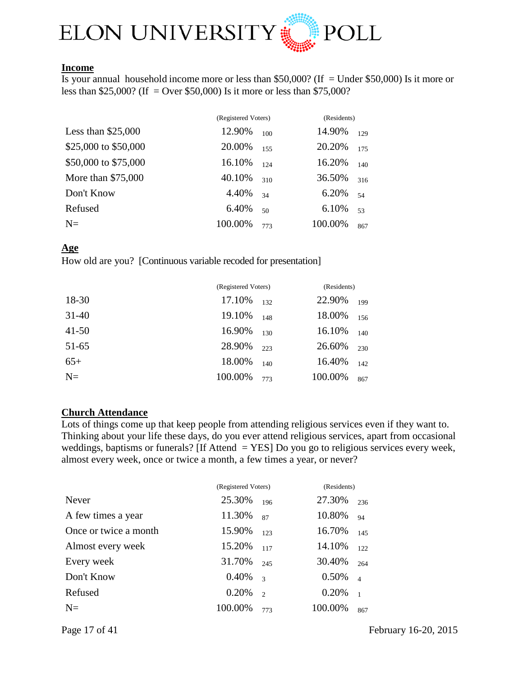

#### **Income**

Is your annual household income more or less than \$50,000? (If = Under \$50,000) Is it more or less than \$25,000? (If = Over \$50,000) Is it more or less than \$75,000?

|                      | (Registered Voters) |     | (Residents) |     |
|----------------------|---------------------|-----|-------------|-----|
| Less than $$25,000$  | 12.90%              | 100 | 14.90%      | 129 |
| \$25,000 to \$50,000 | 20.00%              | 155 | 20.20%      | 175 |
| \$50,000 to \$75,000 | 16.10%              | 124 | 16.20%      | 140 |
| More than \$75,000   | 40.10%              | 310 | 36.50%      | 316 |
| Don't Know           | 4.40%               | 34  | 6.20%       | 54  |
| Refused              | 6.40%               | 50  | 6.10%       | 53  |
| $N=$                 | 100.00%             | 773 | 100.00%     | 867 |

#### **Age**

How old are you? [Continuous variable recoded for presentation]

|           | (Registered Voters) |     | (Residents) |     |
|-----------|---------------------|-----|-------------|-----|
| 18-30     | 17.10%              | 132 | 22.90%      | 199 |
| $31-40$   | 19.10%              | 148 | 18.00%      | 156 |
| $41 - 50$ | 16.90%              | 130 | 16.10%      | 140 |
| $51 - 65$ | 28.90%              | 223 | 26.60%      | 230 |
| $65+$     | 18.00%              | 140 | 16.40%      | 142 |
| $N=$      | 100.00%             | 773 | 100.00%     | 867 |

#### **Church Attendance**

Lots of things come up that keep people from attending religious services even if they want to. Thinking about your life these days, do you ever attend religious services, apart from occasional weddings, baptisms or funerals? [If Attend = YES] Do you go to religious services every week, almost every week, once or twice a month, a few times a year, or never?

|                       | (Registered Voters) |                         | (Residents) |                |
|-----------------------|---------------------|-------------------------|-------------|----------------|
| Never                 | 25.30%              | 196                     | 27.30%      | 236            |
| A few times a year    | 11.30%              | 87                      | 10.80%      | 94             |
| Once or twice a month | 15.90%              | 123                     | 16.70%      | 145            |
| Almost every week     | 15.20%              | 117                     | 14.10%      | 122            |
| Every week            | 31.70%              | 245                     | 30.40%      | 264            |
| Don't Know            | 0.40%               | $\overline{\mathbf{3}}$ | 0.50%       | $\overline{4}$ |
| Refused               | 0.20%               | $\mathfrak{D}$          | 0.20%       | $\overline{1}$ |
| $N=$                  | 100.00%             | 773                     | 100.00%     | 867            |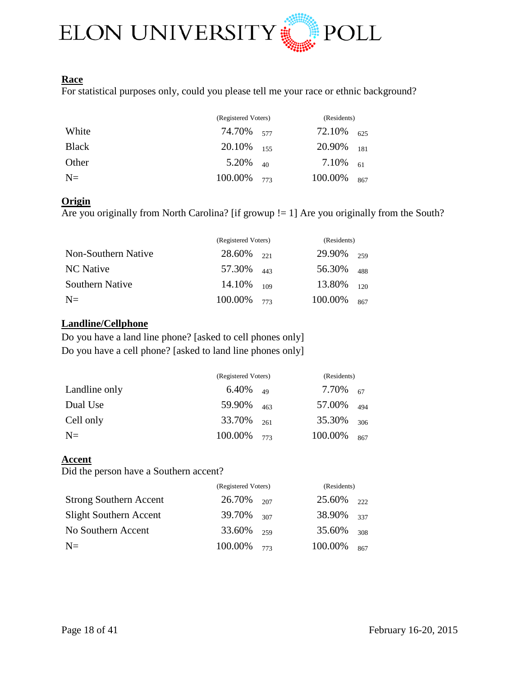

#### **Race**

For statistical purposes only, could you please tell me your race or ethnic background?

|              | (Registered Voters)    |     |               | (Residents) |  |
|--------------|------------------------|-----|---------------|-------------|--|
| White        | 74.70% 577             |     | 72.10%        | 625         |  |
| <b>Black</b> | $20.10\%$ 155          |     | $20.90\%$ 181 |             |  |
| Other        | $5.20\%$ <sub>40</sub> |     | 7.10% $_{61}$ |             |  |
| $N=$         | 100.00%                | 773 | 100.00%       | 867         |  |

#### **Origin**

Are you originally from North Carolina? [if growup != 1] Are you originally from the South?

|                        | (Registered Voters) |     |         | (Residents) |  |
|------------------------|---------------------|-----|---------|-------------|--|
| Non-Southern Native    | $28.60\%$ 221       |     | 29.90%  | 259         |  |
| NC Native              | 57.30% 443          |     | 56.30%  | 488         |  |
| <b>Southern Native</b> | 14.10%              | 109 | 13.80%  | 120         |  |
| $N=$                   | 100.00%             | 773 | 100.00% | 867         |  |

#### **Landline/Cellphone**

Do you have a land line phone? [asked to cell phones only] Do you have a cell phone? [asked to land line phones only]

|               | (Registered Voters) |     | (Residents)   |     |
|---------------|---------------------|-----|---------------|-----|
| Landline only | $6.40\%$ 49         |     | 7.70% $_{67}$ |     |
| Dual Use      | 59.90%              | 463 | 57.00%        | 494 |
| Cell only     | 33.70%              | 261 | 35.30%        | 306 |
| $N=$          | 100.00%             | 773 | 100.00%       | 867 |

## **Accent**

Did the person have a Southern accent?

|                               | (Registered Voters) |     | (Residents) |     |
|-------------------------------|---------------------|-----|-------------|-----|
| <b>Strong Southern Accent</b> | 26.70%              | 207 | 25.60%      | 222 |
| <b>Slight Southern Accent</b> | 39.70%              | 307 | 38.90%      | 337 |
| No Southern Accent            | 33.60%              | 259 | 35.60%      | 308 |
| $N=$                          | 100.00%             | 773 | 100.00%     | 867 |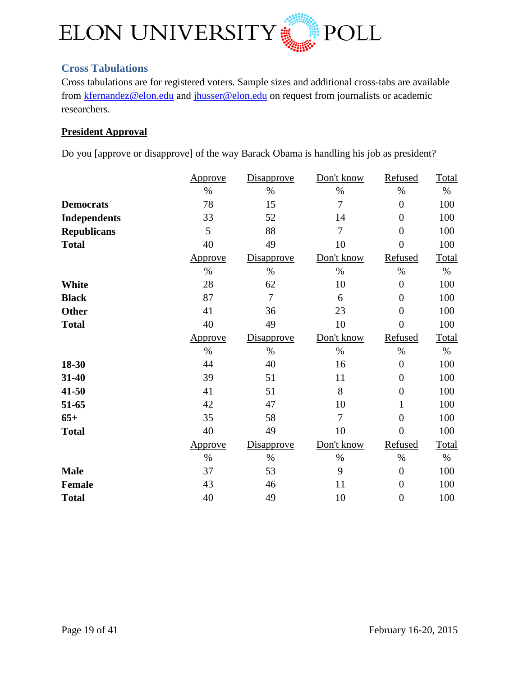

## <span id="page-18-0"></span>**Cross Tabulations**

Cross tabulations are for registered voters. Sample sizes and additional cross-tabs are available from [kfernandez@elon.edu](mailto:kfernandez@elon.edu) and [jhusser@elon.edu](mailto:jhusser@elon.edu) on request from journalists or academic researchers.

## **President Approval**

Do you [approve or disapprove] of the way Barack Obama is handling his job as president?

|                     | Approve | <b>Disapprove</b> | Don't know     | Refused          | Total |
|---------------------|---------|-------------------|----------------|------------------|-------|
|                     | $\%$    | $\%$              | $\%$           | $\%$             | $\%$  |
| <b>Democrats</b>    | 78      | 15                | $\overline{7}$ | $\boldsymbol{0}$ | 100   |
| <b>Independents</b> | 33      | 52                | 14             | $\overline{0}$   | 100   |
| <b>Republicans</b>  | 5       | 88                | 7              | $\overline{0}$   | 100   |
| <b>Total</b>        | 40      | 49                | 10             | $\overline{0}$   | 100   |
|                     | Approve | <b>Disapprove</b> | Don't know     | Refused          | Total |
|                     | $\%$    | $\%$              | $\%$           | $\%$             | $\%$  |
| White               | 28      | 62                | 10             | $\boldsymbol{0}$ | 100   |
| <b>Black</b>        | 87      | 7                 | 6              | $\overline{0}$   | 100   |
| <b>Other</b>        | 41      | 36                | 23             | $\boldsymbol{0}$ | 100   |
| <b>Total</b>        | 40      | 49                | 10             | $\overline{0}$   | 100   |
|                     | Approve | <b>Disapprove</b> | Don't know     | Refused          | Total |
|                     | $\%$    | $\%$              | $\%$           | $\%$             | $\%$  |
| 18-30               | 44      | 40                | 16             | $\boldsymbol{0}$ | 100   |
| 31-40               | 39      | 51                | 11             | $\overline{0}$   | 100   |
| 41-50               | 41      | 51                | 8              | $\boldsymbol{0}$ | 100   |
| 51-65               | 42      | 47                | 10             | 1                | 100   |
| $65+$               | 35      | 58                | 7              | $\boldsymbol{0}$ | 100   |
| <b>Total</b>        | 40      | 49                | 10             | $\overline{0}$   | 100   |
|                     | Approve | <b>Disapprove</b> | Don't know     | Refused          | Total |
|                     | $\%$    | $\%$              | $\%$           | $\%$             | $\%$  |
| <b>Male</b>         | 37      | 53                | 9              | $\boldsymbol{0}$ | 100   |
| <b>Female</b>       | 43      | 46                | 11             | $\overline{0}$   | 100   |
| <b>Total</b>        | 40      | 49                | 10             | $\boldsymbol{0}$ | 100   |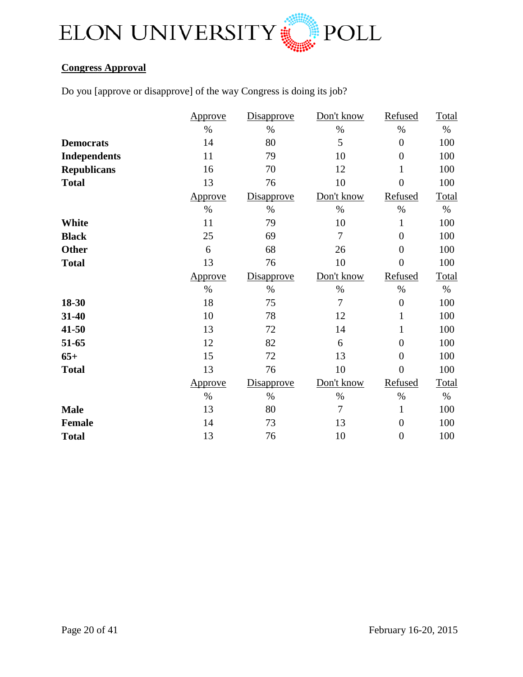

## **Congress Approval**

Do you [approve or disapprove] of the way Congress is doing its job?

| Disapprove<br>Approve               | Don't know     | Refused          | Total        |
|-------------------------------------|----------------|------------------|--------------|
| $\%$<br>$\%$                        | $\%$           | $\%$             | $\%$         |
| 14<br>80<br><b>Democrats</b>        | 5              | $\overline{0}$   | 100          |
| 11<br>79<br><b>Independents</b>     | 10             | $\overline{0}$   | 100          |
| 16<br>70<br><b>Republicans</b>      | 12             | $\mathbf{1}$     | 100          |
| 13<br><b>Total</b><br>76            | 10             | $\overline{0}$   | 100          |
| <b>Disapprove</b><br><b>Approve</b> | Don't know     | Refused          | <b>Total</b> |
| $\%$<br>$\%$                        | $\%$           | $\%$             | $\%$         |
| White<br>11<br>79                   | 10             | $\mathbf{1}$     | 100          |
| 25<br>69<br><b>Black</b>            | $\tau$         | $\overline{0}$   | 100          |
| 6<br>68<br><b>Other</b>             | 26             | $\overline{0}$   | 100          |
| 13<br>76<br><b>Total</b>            | 10             | $\overline{0}$   | 100          |
| Disapprove<br><b>Approve</b>        | Don't know     | Refused          | Total        |
| $\%$<br>$\%$                        | $\%$           | $\%$             | $\%$         |
| 18<br>75<br>18-30                   | $\overline{7}$ | $\overline{0}$   | 100          |
| 10<br>31-40<br>78                   | 12             | $\mathbf{1}$     | 100          |
| 13<br>72<br>41-50                   | 14             | $\mathbf{1}$     | 100          |
| 12<br>82<br>51-65                   | 6              | $\overline{0}$   | 100          |
| 15<br>72<br>$65+$                   | 13             | $\overline{0}$   | 100          |
| 13<br>76<br><b>Total</b>            | 10             | $\overline{0}$   | 100          |
| Disapprove<br><u>Approve</u>        | Don't know     | Refused          | Total        |
| $\%$<br>$\%$                        | $\%$           | $\%$             | $\%$         |
| 13<br>80<br><b>Male</b>             | $\overline{7}$ | $\mathbf{1}$     | 100          |
|                                     |                |                  |              |
| 73<br><b>Female</b><br>14           | 13             | $\boldsymbol{0}$ | 100          |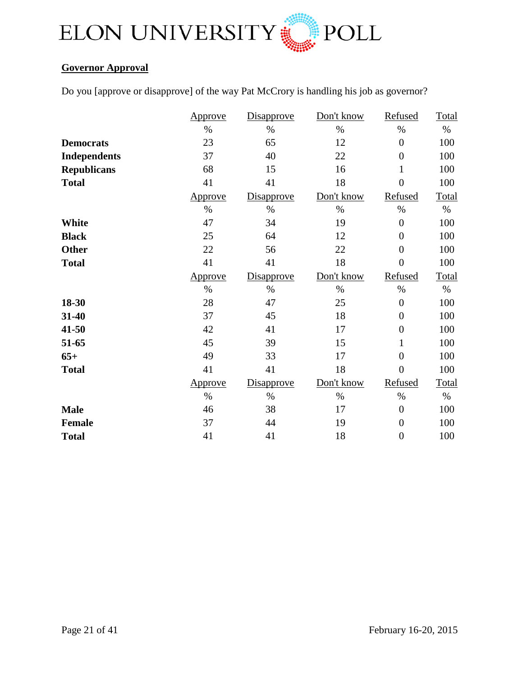

## **Governor Approval**

Do you [approve or disapprove] of the way Pat McCrory is handling his job as governor?

|                     | Approve        | Disapprove        | Don't know | Refused          | <b>Total</b> |
|---------------------|----------------|-------------------|------------|------------------|--------------|
|                     | $\%$           | $\%$              | $\%$       | $\%$             | $\%$         |
| <b>Democrats</b>    | 23             | 65                | 12         | $\boldsymbol{0}$ | 100          |
| <b>Independents</b> | 37             | 40                | 22         | $\overline{0}$   | 100          |
| <b>Republicans</b>  | 68             | 15                | 16         | $\mathbf{1}$     | 100          |
| <b>Total</b>        | 41             | 41                | 18         | $\overline{0}$   | 100          |
|                     | Approve        | <b>Disapprove</b> | Don't know | Refused          | Total        |
|                     | $\%$           | $\%$              | $\%$       | $\%$             | $\%$         |
| <b>White</b>        | 47             | 34                | 19         | $\overline{0}$   | 100          |
| <b>Black</b>        | 25             | 64                | 12         | $\overline{0}$   | 100          |
| <b>Other</b>        | 22             | 56                | 22         | $\overline{0}$   | 100          |
| <b>Total</b>        | 41             | 41                | 18         | $\overline{0}$   | 100          |
|                     | <b>Approve</b> | Disapprove        | Don't know | Refused          | Total        |
|                     | $\%$           | $\%$              | $\%$       | $\%$             | $\%$         |
| 18-30               | 28             | 47                | 25         | $\overline{0}$   | 100          |
| 31-40               | 37             | 45                | 18         | $\overline{0}$   | 100          |
| 41-50               | 42             | 41                | 17         | $\overline{0}$   | 100          |
| 51-65               | 45             | 39                | 15         | $\mathbf{1}$     | 100          |
| $65+$               | 49             | 33                | 17         | $\overline{0}$   | 100          |
| <b>Total</b>        | 41             | 41                | 18         | $\overline{0}$   | 100          |
|                     | Approve        | <b>Disapprove</b> | Don't know | Refused          | <b>Total</b> |
|                     | $\%$           | $\%$              | $\%$       | $\%$             | $\%$         |
| <b>Male</b>         | 46             | 38                | 17         | $\overline{0}$   | 100          |
| <b>Female</b>       | 37             | 44                | 19         | $\boldsymbol{0}$ | 100          |
| <b>Total</b>        | 41             | 41                | 18         | $\overline{0}$   | 100          |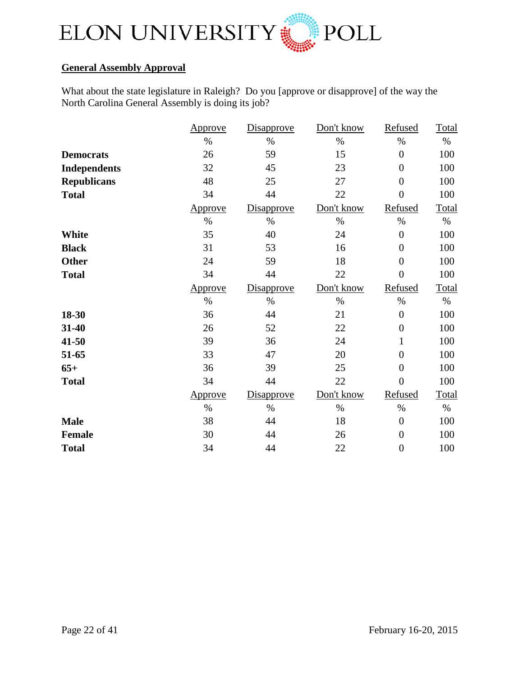

## **General Assembly Approval**

What about the state legislature in Raleigh? Do you [approve or disapprove] of the way the North Carolina General Assembly is doing its job?

|                     | Approve        | Disapprove        | Don't know | Refused          | <b>Total</b> |
|---------------------|----------------|-------------------|------------|------------------|--------------|
|                     | $\%$           | $\%$              | $\%$       | $\%$             | $\%$         |
| <b>Democrats</b>    | 26             | 59                | 15         | $\overline{0}$   | 100          |
| <b>Independents</b> | 32             | 45                | 23         | $\overline{0}$   | 100          |
| <b>Republicans</b>  | 48             | 25                | 27         | $\overline{0}$   | 100          |
| <b>Total</b>        | 34             | 44                | 22         | $\overline{0}$   | 100          |
|                     | Approve        | <b>Disapprove</b> | Don't know | Refused          | Total        |
|                     | $\%$           | $\%$              | $\%$       | $\%$             | $\%$         |
| <b>White</b>        | 35             | 40                | 24         | $\boldsymbol{0}$ | 100          |
| <b>Black</b>        | 31             | 53                | 16         | $\overline{0}$   | 100          |
| <b>Other</b>        | 24             | 59                | 18         | $\boldsymbol{0}$ | 100          |
| <b>Total</b>        | 34             | 44                | 22         | $\overline{0}$   | 100          |
|                     | <b>Approve</b> | <b>Disapprove</b> | Don't know | Refused          | Total        |
|                     | $\%$           | $\%$              | $\%$       | $\%$             | $\%$         |
| 18-30               | 36             | 44                | 21         | $\boldsymbol{0}$ | 100          |
| 31-40               | 26             | 52                | 22         | $\overline{0}$   | 100          |
| 41-50               | 39             | 36                | 24         | $\mathbf 1$      | 100          |
| 51-65               | 33             | 47                | 20         | $\overline{0}$   | 100          |
| $65+$               | 36             | 39                | 25         | $\overline{0}$   | 100          |
| <b>Total</b>        | 34             | 44                | 22         | $\overline{0}$   | 100          |
|                     | Approve        | <b>Disapprove</b> | Don't know | Refused          | Total        |
|                     | $\%$           | $\%$              | $\%$       | $\%$             | $\%$         |
| <b>Male</b>         | 38             | 44                | 18         | $\boldsymbol{0}$ | 100          |
| <b>Female</b>       | 30             | 44                | 26         | $\boldsymbol{0}$ | 100          |
| <b>Total</b>        | 34             | 44                | 22         | $\boldsymbol{0}$ | 100          |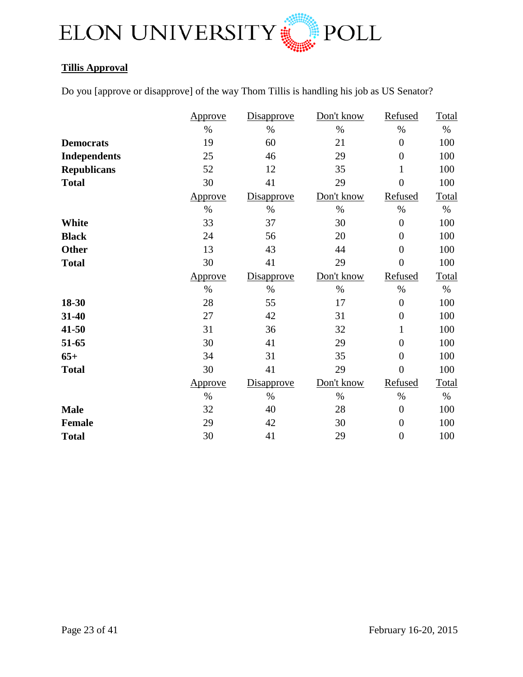

## **Tillis Approval**

Do you [approve or disapprove] of the way Thom Tillis is handling his job as US Senator?

|                     | Approve        | Disapprove        | Don't know | Refused          | <b>Total</b> |
|---------------------|----------------|-------------------|------------|------------------|--------------|
|                     | $\%$           | $\%$              | $\%$       | $\%$             | $\%$         |
| <b>Democrats</b>    | 19             | 60                | 21         | $\boldsymbol{0}$ | 100          |
| <b>Independents</b> | 25             | 46                | 29         | $\overline{0}$   | 100          |
| <b>Republicans</b>  | 52             | 12                | 35         | $\mathbf{1}$     | 100          |
| <b>Total</b>        | 30             | 41                | 29         | $\overline{0}$   | 100          |
|                     | Approve        | <b>Disapprove</b> | Don't know | Refused          | Total        |
|                     | $\%$           | $\%$              | $\%$       | $\%$             | $\%$         |
| <b>White</b>        | 33             | 37                | 30         | $\overline{0}$   | 100          |
| <b>Black</b>        | 24             | 56                | 20         | $\overline{0}$   | 100          |
| <b>Other</b>        | 13             | 43                | 44         | $\overline{0}$   | 100          |
| <b>Total</b>        | 30             | 41                | 29         | $\overline{0}$   | 100          |
|                     | <b>Approve</b> | <b>Disapprove</b> | Don't know | Refused          | Total        |
|                     | $\%$           | $\%$              | $\%$       | $\%$             | $\%$         |
| 18-30               | 28             | 55                | 17         | $\overline{0}$   | 100          |
| 31-40               | 27             | 42                | 31         | $\overline{0}$   | 100          |
| 41-50               | 31             | 36                | 32         | $\mathbf{1}$     | 100          |
| 51-65               | 30             | 41                | 29         | $\overline{0}$   | 100          |
| $65+$               | 34             | 31                | 35         | $\overline{0}$   | 100          |
| <b>Total</b>        | 30             | 41                | 29         | $\overline{0}$   | 100          |
|                     | Approve        | <b>Disapprove</b> | Don't know | Refused          | Total        |
|                     | $\%$           | $\%$              | $\%$       | $\%$             | $\%$         |
| <b>Male</b>         | 32             | 40                | 28         | $\overline{0}$   | 100          |
| <b>Female</b>       | 29             | 42                | 30         | $\boldsymbol{0}$ | 100          |
| <b>Total</b>        | 30             | 41                | 29         | $\boldsymbol{0}$ | 100          |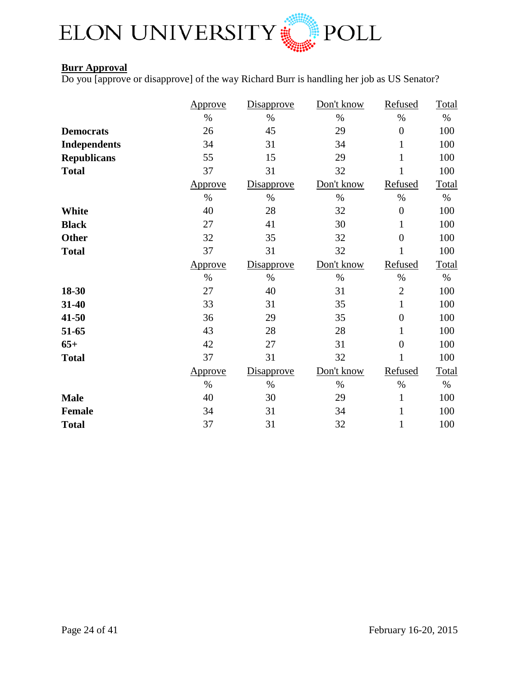

## **Burr Approval**

Do you [approve or disapprove] of the way Richard Burr is handling her job as US Senator?

|                     | <u>Approve</u> | <b>Disapprove</b> | Don't know | Refused          | Total        |
|---------------------|----------------|-------------------|------------|------------------|--------------|
|                     | $\%$           | $\%$              | $\%$       | $\%$             | $\%$         |
| <b>Democrats</b>    | 26             | 45                | 29         | $\overline{0}$   | 100          |
| <b>Independents</b> | 34             | 31                | 34         | $\mathbf{1}$     | 100          |
| <b>Republicans</b>  | 55             | 15                | 29         | $\mathbf{1}$     | 100          |
| <b>Total</b>        | 37             | 31                | 32         | 1                | 100          |
|                     | Approve        | Disapprove        | Don't know | Refused          | <b>Total</b> |
|                     | $\%$           | $\%$              | $\%$       | $\%$             | $\%$         |
| <b>White</b>        | 40             | 28                | 32         | $\boldsymbol{0}$ | 100          |
| <b>Black</b>        | 27             | 41                | 30         | $\mathbf{1}$     | 100          |
| Other               | 32             | 35                | 32         | $\overline{0}$   | 100          |
| <b>Total</b>        | 37             | 31                | 32         | 1                | 100          |
|                     | Approve        | Disapprove        | Don't know | Refused          | Total        |
|                     | $\%$           | $\%$              | $\%$       | $\%$             | $\%$         |
| 18-30               | 27             | 40                | 31         | $\mathfrak{2}$   | 100          |
| 31-40               | 33             | 31                | 35         | $\mathbf{1}$     | 100          |
| $41 - 50$           | 36             | 29                | 35         | $\boldsymbol{0}$ | 100          |
| 51-65               | 43             | 28                | 28         | $\mathbf{1}$     | 100          |
| $65+$               | 42             | 27                | 31         | $\overline{0}$   | 100          |
| <b>Total</b>        | 37             | 31                | 32         | $\mathbf{1}$     | 100          |
|                     | <u>Approve</u> | <b>Disapprove</b> | Don't know | Refused          | Total        |
|                     | $\%$           | $\%$              | $\%$       | $\%$             | $\%$         |
| <b>Male</b>         | 40             | 30                | 29         | $\mathbf{1}$     | 100          |
| <b>Female</b>       | 34             | 31                | 34         | $\mathbf{1}$     | 100          |
| <b>Total</b>        | 37             | 31                | 32         | $\mathbf{1}$     | 100          |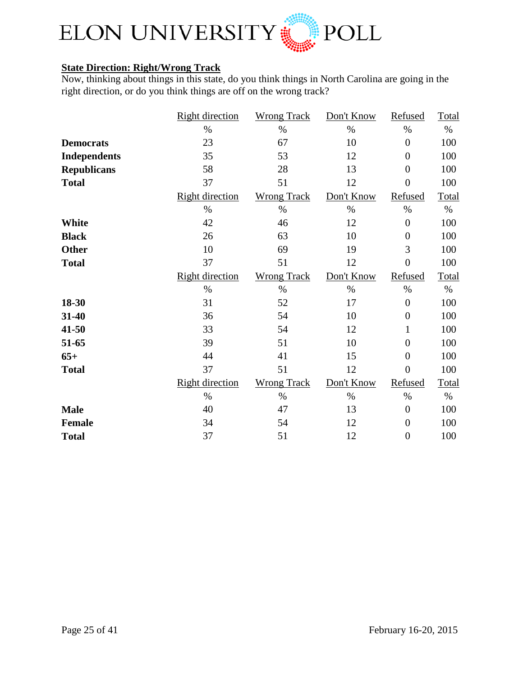

## **State Direction: Right/Wrong Track**

Now, thinking about things in this state, do you think things in North Carolina are going in the right direction, or do you think things are off on the wrong track?

|                     | <b>Right direction</b> | <b>Wrong Track</b> | Don't Know | Refused        | Total        |
|---------------------|------------------------|--------------------|------------|----------------|--------------|
|                     | $\%$                   | $\%$               | $\%$       | $\%$           | $\%$         |
| <b>Democrats</b>    | 23                     | 67                 | 10         | $\overline{0}$ | 100          |
| <b>Independents</b> | 35                     | 53                 | 12         | $\overline{0}$ | 100          |
| <b>Republicans</b>  | 58                     | 28                 | 13         | $\overline{0}$ | 100          |
| <b>Total</b>        | 37                     | 51                 | 12         | $\overline{0}$ | 100          |
|                     | <b>Right direction</b> | <b>Wrong Track</b> | Don't Know | Refused        | Total        |
|                     | $\%$                   | $\%$               | $\%$       | $\%$           | $\%$         |
| White               | 42                     | 46                 | 12         | $\overline{0}$ | 100          |
| <b>Black</b>        | 26                     | 63                 | 10         | $\overline{0}$ | 100          |
| <b>Other</b>        | 10                     | 69                 | 19         | 3              | 100          |
| <b>Total</b>        | 37                     | 51                 | 12         | $\overline{0}$ | 100          |
|                     | <b>Right direction</b> | <b>Wrong Track</b> | Don't Know | Refused        | Total        |
|                     | $\%$                   | $\%$               | $\%$       | $\%$           | $\%$         |
| 18-30               | 31                     | 52                 | 17         | $\overline{0}$ | 100          |
| 31-40               | 36                     | 54                 | 10         | $\overline{0}$ | 100          |
| 41-50               | 33                     | 54                 | 12         | 1              | 100          |
| 51-65               | 39                     | 51                 | 10         | $\overline{0}$ | 100          |
| $65+$               | 44                     | 41                 | 15         | $\overline{0}$ | 100          |
| <b>Total</b>        | 37                     | 51                 | 12         | $\overline{0}$ | 100          |
|                     | <b>Right direction</b> | <b>Wrong Track</b> | Don't Know | Refused        | <b>Total</b> |
|                     | $\%$                   | $\%$               | $\%$       | $\%$           | $\%$         |
| <b>Male</b>         | 40                     | 47                 | 13         | $\overline{0}$ | 100          |
| <b>Female</b>       | 34                     | 54                 | 12         | $\overline{0}$ | 100          |
| <b>Total</b>        | 37                     | 51                 | 12         | $\overline{0}$ | 100          |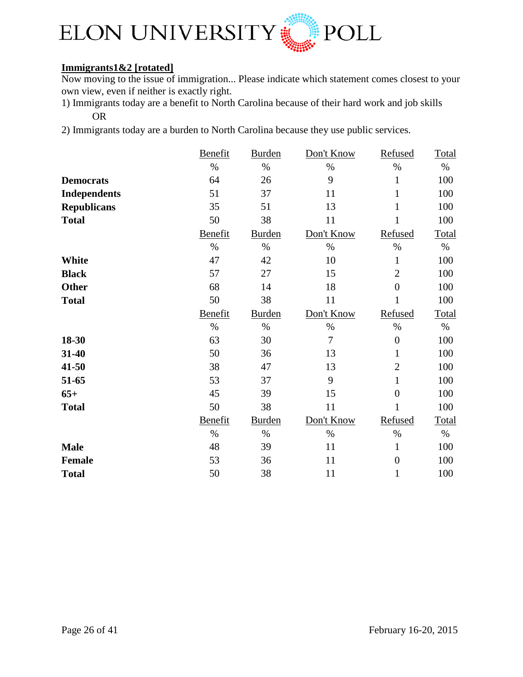

## **Immigrants1&2 [rotated]**

Now moving to the issue of immigration... Please indicate which statement comes closest to your own view, even if neither is exactly right.

- 1) Immigrants today are a benefit to North Carolina because of their hard work and job skills OR
- 2) Immigrants today are a burden to North Carolina because they use public services.

|                     | <b>Benefit</b> | <b>Burden</b> | Don't Know     | Refused        | Total |
|---------------------|----------------|---------------|----------------|----------------|-------|
|                     | $\%$           | $\%$          | $\%$           | $\%$           | $\%$  |
| <b>Democrats</b>    | 64             | 26            | 9              | $\mathbf{1}$   | 100   |
| <b>Independents</b> | 51             | 37            | 11             | 1              | 100   |
| <b>Republicans</b>  | 35             | 51            | 13             | 1              | 100   |
| <b>Total</b>        | 50             | 38            | 11             | 1              | 100   |
|                     | Benefit        | <b>Burden</b> | Don't Know     | Refused        | Total |
|                     | $\%$           | $\%$          | $\%$           | $\%$           | $\%$  |
| <b>White</b>        | 47             | 42            | 10             | $\mathbf{1}$   | 100   |
| <b>Black</b>        | 57             | 27            | 15             | $\overline{2}$ | 100   |
| <b>Other</b>        | 68             | 14            | 18             | $\overline{0}$ | 100   |
| <b>Total</b>        | 50             | 38            | 11             | 1              | 100   |
|                     | Benefit        | <b>Burden</b> | Don't Know     | Refused        | Total |
|                     | $\%$           | $\%$          | $\%$           | $\%$           | $\%$  |
| 18-30               | 63             | 30            | $\overline{7}$ | $\overline{0}$ | 100   |
| 31-40               | 50             | 36            | 13             | 1              | 100   |
| 41-50               | 38             | 47            | 13             | $\overline{2}$ | 100   |
| 51-65               | 53             | 37            | 9              | 1              | 100   |
| $65+$               | 45             | 39            | 15             | $\overline{0}$ | 100   |
| <b>Total</b>        | 50             | 38            | 11             | 1              | 100   |
|                     | Benefit        | <b>Burden</b> | Don't Know     | Refused        | Total |
|                     | $\%$           | $\%$          | $\%$           | $\%$           | $\%$  |
| <b>Male</b>         | 48             | 39            | 11             | 1              | 100   |
| <b>Female</b>       | 53             | 36            | 11             | $\overline{0}$ | 100   |
| <b>Total</b>        | 50             | 38            | 11             | 1              | 100   |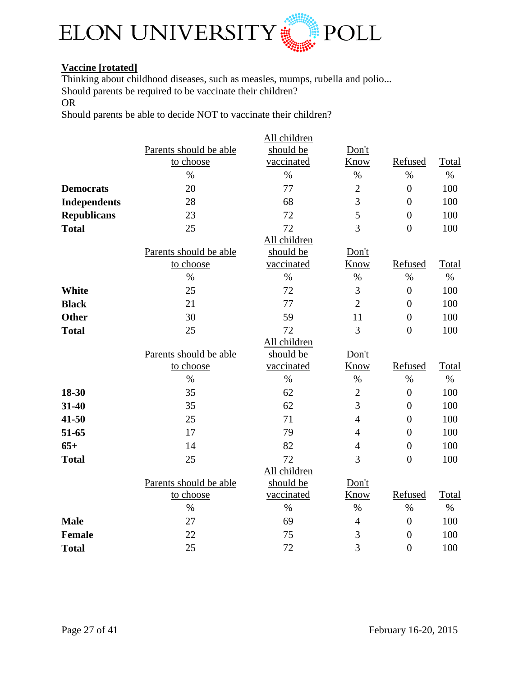

## **Vaccine [rotated]**

Thinking about childhood diseases, such as measles, mumps, rubella and polio... Should parents be required to be vaccinate their children?

OR

Should parents be able to decide NOT to vaccinate their children?

|                     |                        | All children |                |                  |       |
|---------------------|------------------------|--------------|----------------|------------------|-------|
|                     | Parents should be able | should be    | Don't          |                  |       |
|                     | to choose              | vaccinated   | Know           | Refused          | Total |
|                     | $\%$                   | $\%$         | $\%$           | $\%$             | $\%$  |
| <b>Democrats</b>    | 20                     | 77           | $\overline{c}$ | $\overline{0}$   | 100   |
| <b>Independents</b> | 28                     | 68           | $\overline{3}$ | $\overline{0}$   | 100   |
| <b>Republicans</b>  | 23                     | 72           | 5              | $\overline{0}$   | 100   |
| <b>Total</b>        | 25                     | 72           | $\overline{3}$ | $\overline{0}$   | 100   |
|                     |                        | All children |                |                  |       |
|                     | Parents should be able | should be    | Don't          |                  |       |
|                     | to choose              | vaccinated   | Know           | Refused          | Total |
|                     | $\%$                   | $\%$         | $\%$           | $\%$             | $\%$  |
| <b>White</b>        | 25                     | 72           | 3              | $\overline{0}$   | 100   |
| <b>Black</b>        | 21                     | 77           | $\overline{2}$ | $\overline{0}$   | 100   |
| <b>Other</b>        | 30                     | 59           | 11             | $\overline{0}$   | 100   |
| <b>Total</b>        | 25                     | 72           | 3              | $\overline{0}$   | 100   |
|                     |                        | All children |                |                  |       |
|                     | Parents should be able | should be    | Don't          |                  |       |
|                     | to choose              | vaccinated   | Know           | Refused          | Total |
|                     | $\%$                   | $\%$         | $\%$           | $\%$             | $\%$  |
| 18-30               | 35                     | 62           | $\overline{2}$ | $\boldsymbol{0}$ | 100   |
| 31-40               | 35                     | 62           | $\overline{3}$ | $\overline{0}$   | 100   |
| 41-50               | 25                     | 71           | $\overline{4}$ | $\overline{0}$   | 100   |
| 51-65               | 17                     | 79           | $\overline{4}$ | $\overline{0}$   | 100   |
| $65+$               | 14                     | 82           | $\overline{4}$ | $\overline{0}$   | 100   |
| <b>Total</b>        | 25                     | 72           | 3              | $\overline{0}$   | 100   |
|                     |                        | All children |                |                  |       |
|                     | Parents should be able | should be    | Don't          |                  |       |
|                     | to choose              | vaccinated   | Know           | Refused          | Total |
|                     | $\%$                   | $\%$         | $\%$           | $\%$             | $\%$  |
| <b>Male</b>         | 27                     | 69           | $\overline{4}$ | $\overline{0}$   | 100   |
| <b>Female</b>       | 22                     | 75           | 3              | $\overline{0}$   | 100   |
| <b>Total</b>        | 25                     | 72           | 3              | $\overline{0}$   | 100   |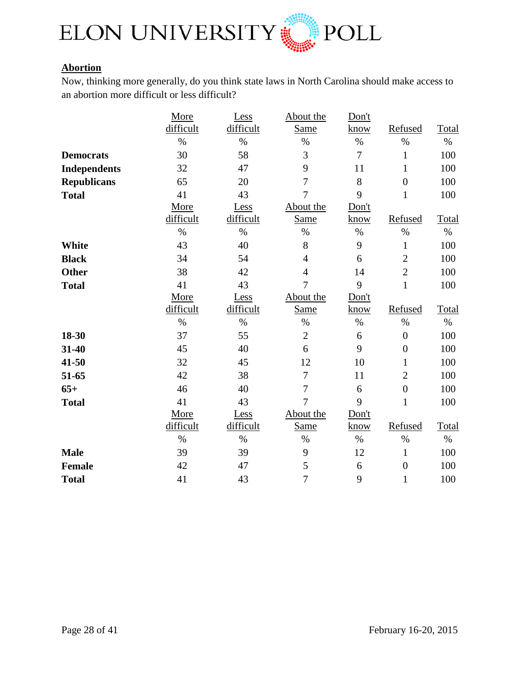

## **Abortion**

Now, thinking more generally, do you think state laws in North Carolina should make access to an abortion more difficult or less difficult?

|                     | More      | Less      | About the      | Don't |                |       |
|---------------------|-----------|-----------|----------------|-------|----------------|-------|
|                     | difficult | difficult | <b>Same</b>    | know  | Refused        | Total |
|                     | $\%$      | $\%$      | $\%$           | $\%$  | $\%$           | $\%$  |
| <b>Democrats</b>    | 30        | 58        | 3              | 7     | $\mathbf{1}$   | 100   |
| <b>Independents</b> | 32        | 47        | 9              | 11    | $\mathbf{1}$   | 100   |
| <b>Republicans</b>  | 65        | 20        | $\overline{7}$ | 8     | $\overline{0}$ | 100   |
| <b>Total</b>        | 41        | 43        | $\overline{7}$ | 9     | $\mathbf{1}$   | 100   |
|                     | More      | Less      | About the      | Don't |                |       |
|                     | difficult | difficult | Same           | know  | Refused        | Total |
|                     | $\%$      | $\%$      | $\%$           | $\%$  | $\%$           | $\%$  |
| <b>White</b>        | 43        | 40        | 8              | 9     | $\mathbf{1}$   | 100   |
| <b>Black</b>        | 34        | 54        | $\overline{4}$ | 6     | $\overline{c}$ | 100   |
| <b>Other</b>        | 38        | 42        | $\overline{4}$ | 14    | $\overline{2}$ | 100   |
| <b>Total</b>        | 41        | 43        | $\overline{7}$ | 9     | $\mathbf{1}$   | 100   |
|                     | More      | Less      | About the      | Don't |                |       |
|                     | difficult | difficult | <b>Same</b>    | know  | Refused        | Total |
|                     | $\%$      | $\%$      | $\%$           | $\%$  | $\%$           | $\%$  |
| 18-30               | 37        | 55        | $\overline{2}$ | 6     | $\overline{0}$ | 100   |
| 31-40               | 45        | 40        | 6              | 9     | $\overline{0}$ | 100   |
| 41-50               | 32        | 45        | 12             | 10    | $\mathbf{1}$   | 100   |
| 51-65               | 42        | 38        | $\overline{7}$ | 11    | $\overline{2}$ | 100   |
| $65+$               | 46        | 40        | $\overline{7}$ | 6     | $\overline{0}$ | 100   |
| <b>Total</b>        | 41        | 43        | $\overline{7}$ | 9     | $\mathbf{1}$   | 100   |
|                     | More      | Less      | About the      | Don't |                |       |
|                     | difficult | difficult | <b>Same</b>    | know  | Refused        | Total |
|                     | $\%$      | $\%$      | $\%$           | $\%$  | $\%$           | $\%$  |
| <b>Male</b>         | 39        | 39        | 9              | 12    | $\mathbf{1}$   | 100   |
| <b>Female</b>       | 42        | 47        | 5              | 6     | $\overline{0}$ | 100   |
| <b>Total</b>        | 41        | 43        | $\overline{7}$ | 9     | $\mathbf{1}$   | 100   |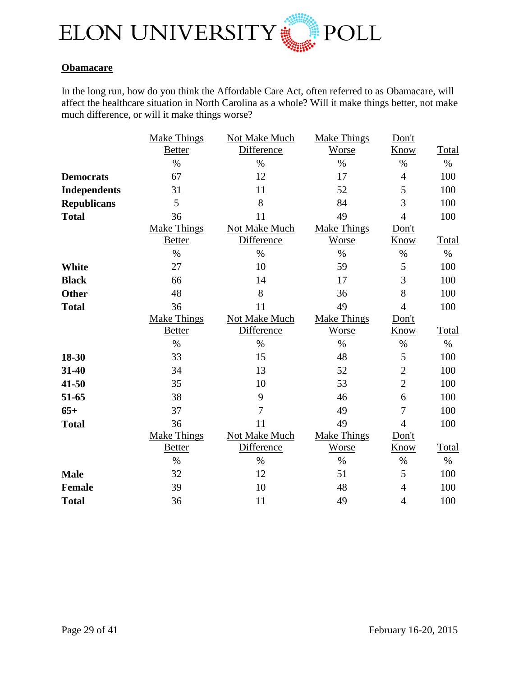

#### **Obamacare**

In the long run, how do you think the Affordable Care Act, often referred to as Obamacare, will affect the healthcare situation in North Carolina as a whole? Will it make things better, not make much difference, or will it make things worse?

|                     | <b>Make Things</b> | Not Make Much     | <b>Make Things</b> | Don't          |              |
|---------------------|--------------------|-------------------|--------------------|----------------|--------------|
|                     | <b>Better</b>      | Difference        | Worse              | Know           | <b>Total</b> |
|                     | $\%$               | $\%$              | $\%$               | $\%$           | $\%$         |
| <b>Democrats</b>    | 67                 | 12                | 17                 | $\overline{4}$ | 100          |
| <b>Independents</b> | 31                 | 11                | 52                 | 5              | 100          |
| <b>Republicans</b>  | 5                  | 8                 | 84                 | 3              | 100          |
| <b>Total</b>        | 36                 | 11                | 49                 | $\overline{4}$ | 100          |
|                     | <b>Make Things</b> | Not Make Much     | Make Things        | Don't          |              |
|                     | <b>Better</b>      | Difference        | Worse              | Know           | Total        |
|                     | $\%$               | $\%$              | $\%$               | $\%$           | $\%$         |
| <b>White</b>        | 27                 | 10                | 59                 | 5              | 100          |
| <b>Black</b>        | 66                 | 14                | 17                 | 3              | 100          |
| <b>Other</b>        | 48                 | 8                 | 36                 | 8              | 100          |
| <b>Total</b>        | 36                 | 11                | 49                 | $\overline{4}$ | 100          |
|                     | <b>Make Things</b> | Not Make Much     | <b>Make Things</b> | Don't          |              |
|                     | <b>Better</b>      | <b>Difference</b> | Worse              | Know           | Total        |
|                     | $\%$               | $\%$              | $\%$               | $\%$           | $\%$         |
| 18-30               | 33                 | 15                | 48                 | 5              | 100          |
| 31-40               | 34                 | 13                | 52                 | $\overline{2}$ | 100          |
| 41-50               | 35                 | 10                | 53                 | $\overline{2}$ | 100          |
| 51-65               | 38                 | 9                 | 46                 | 6              | 100          |
| $65+$               | 37                 | $\overline{7}$    | 49                 | 7              | 100          |
| <b>Total</b>        | 36                 | 11                | 49                 | $\overline{4}$ | 100          |
|                     | <b>Make Things</b> | Not Make Much     | <b>Make Things</b> | Don't          |              |
|                     | <b>Better</b>      | Difference        | Worse              | Know           | Total        |
|                     | $\%$               | $\%$              | $\%$               | $\%$           | $\%$         |
| <b>Male</b>         | 32                 | 12                | 51                 | 5              | 100          |
| <b>Female</b>       | 39                 | 10                | 48                 | $\overline{4}$ | 100          |
| <b>Total</b>        | 36                 | 11                | 49                 | $\overline{4}$ | 100          |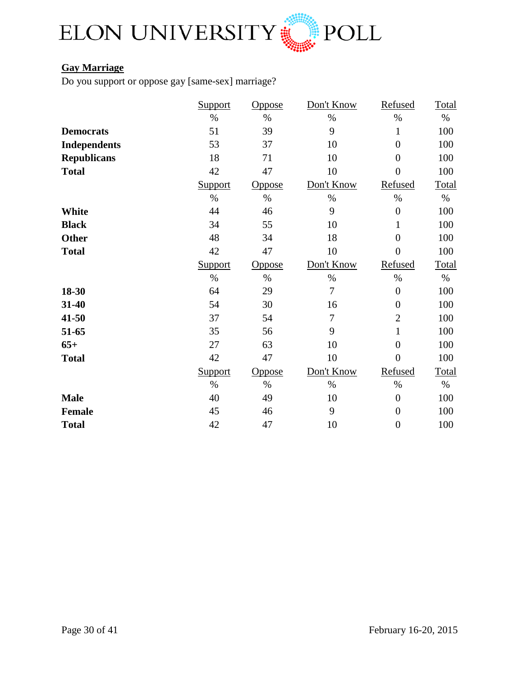

## **Gay Marriage**

Do you support or oppose gay [same-sex] marriage?

|                     | <b>Support</b> | <u>Oppose</u> | Don't Know | Refused          | Total        |
|---------------------|----------------|---------------|------------|------------------|--------------|
|                     | $\%$           | $\%$          | $\%$       | $\%$             | $\%$         |
| <b>Democrats</b>    | 51             | 39            | 9          | $\mathbf{1}$     | 100          |
| <b>Independents</b> | 53             | 37            | 10         | $\overline{0}$   | 100          |
| <b>Republicans</b>  | 18             | 71            | 10         | $\overline{0}$   | 100          |
| <b>Total</b>        | 42             | 47            | 10         | $\overline{0}$   | 100          |
|                     | Support        | <b>Oppose</b> | Don't Know | Refused          | Total        |
|                     | $\%$           | $\%$          | $\%$       | $\%$             | $\%$         |
| <b>White</b>        | 44             | 46            | 9          | $\overline{0}$   | 100          |
| <b>Black</b>        | 34             | 55            | 10         | 1                | 100          |
| <b>Other</b>        | 48             | 34            | 18         | $\overline{0}$   | 100          |
| <b>Total</b>        | 42             | 47            | 10         | $\overline{0}$   | 100          |
|                     | <b>Support</b> | <u>Oppose</u> | Don't Know | Refused          | Total        |
|                     | $\%$           | $\%$          | $\%$       | $\%$             | $\%$         |
| 18-30               | 64             | 29            | 7          | $\overline{0}$   | 100          |
| 31-40               | 54             | 30            | 16         | $\overline{0}$   | 100          |
| 41-50               | 37             | 54            | 7          | $\overline{2}$   | 100          |
| 51-65               | 35             | 56            | 9          | $\mathbf{1}$     | 100          |
| $65+$               | 27             | 63            | 10         | $\overline{0}$   | 100          |
| <b>Total</b>        | 42             | 47            | 10         | $\overline{0}$   | 100          |
|                     | <b>Support</b> | <u>Oppose</u> | Don't Know | Refused          | <b>Total</b> |
|                     | $\%$           | $\%$          | $\%$       | $\%$             | $\%$         |
| <b>Male</b>         | 40             | 49            | 10         | $\overline{0}$   | 100          |
| <b>Female</b>       | 45             | 46            | 9          | $\overline{0}$   | 100          |
| <b>Total</b>        | 42             | 47            | 10         | $\boldsymbol{0}$ | 100          |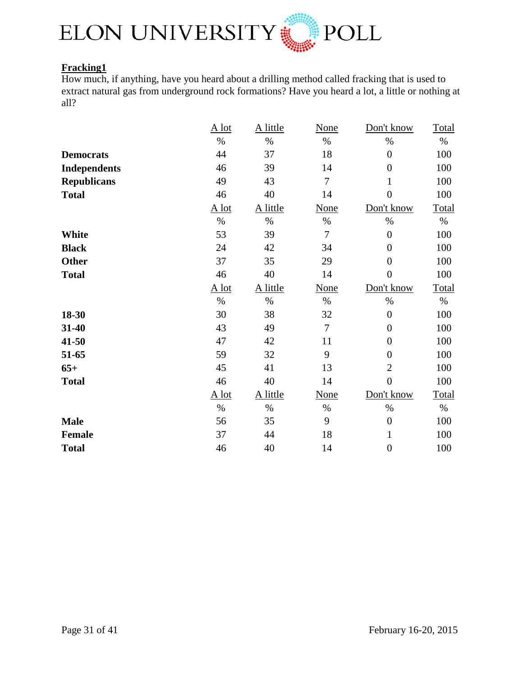

## **Fracking1**

How much, if anything, have you heard about a drilling method called fracking that is used to extract natural gas from underground rock formations? Have you heard a lot, a little or nothing at all?

|                     | $A$ lot | A little | <b>None</b>    | Don't know       | <b>Total</b> |
|---------------------|---------|----------|----------------|------------------|--------------|
|                     | $\%$    | $\%$     | $\%$           | $\%$             | $\%$         |
| <b>Democrats</b>    | 44      | 37       | 18             | $\boldsymbol{0}$ | 100          |
| <b>Independents</b> | 46      | 39       | 14             | $\overline{0}$   | 100          |
| <b>Republicans</b>  | 49      | 43       | $\overline{7}$ | 1                | 100          |
| <b>Total</b>        | 46      | 40       | 14             | $\overline{0}$   | 100          |
|                     | $A$ lot | A little | None           | Don't know       | Total        |
|                     | $\%$    | $\%$     | $\%$           | $\%$             | $\%$         |
| <b>White</b>        | 53      | 39       | $\overline{7}$ | $\boldsymbol{0}$ | 100          |
| <b>Black</b>        | 24      | 42       | 34             | $\overline{0}$   | 100          |
| <b>Other</b>        | 37      | 35       | 29             | $\boldsymbol{0}$ | 100          |
| <b>Total</b>        | 46      | 40       | 14             | $\overline{0}$   | 100          |
|                     | $A$ lot | A little | <b>None</b>    | Don't know       | Total        |
|                     | $\%$    | $\%$     | $\%$           | $\%$             | $\%$         |
| 18-30               | 30      | 38       | 32             | $\boldsymbol{0}$ | 100          |
| 31-40               | 43      | 49       | $\overline{7}$ | $\overline{0}$   | 100          |
| 41-50               | 47      | 42       | 11             | $\overline{0}$   | 100          |
| 51-65               | 59      | 32       | 9              | $\boldsymbol{0}$ | 100          |
| $65+$               | 45      | 41       | 13             | $\overline{2}$   | 100          |
| <b>Total</b>        | 46      | 40       | 14             | $\overline{0}$   | 100          |
|                     | $A$ lot | A little | None           | Don't know       | <b>Total</b> |
|                     | $\%$    | $\%$     | $\%$           | $\%$             | $\%$         |
| <b>Male</b>         | 56      | 35       | 9              | $\boldsymbol{0}$ | 100          |
| <b>Female</b>       | 37      | 44       | 18             | $\mathbf{1}$     | 100          |
| <b>Total</b>        | 46      | 40       | 14             | $\boldsymbol{0}$ | 100          |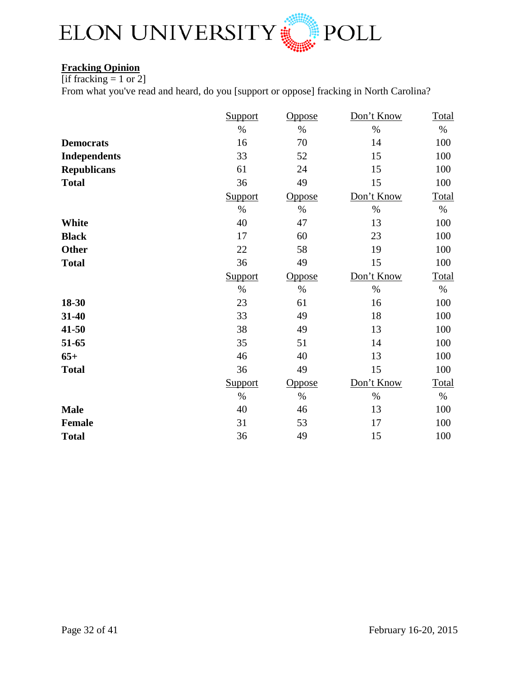

## **Fracking Opinion**

[if fracking  $= 1$  or 2]

From what you've read and heard, do you [support or oppose] fracking in North Carolina?

|                     | Support | Oppose        | Don't Know | Total        |
|---------------------|---------|---------------|------------|--------------|
|                     | $\%$    | $\%$          | $\%$       | $\%$         |
| <b>Democrats</b>    | 16      | 70            | 14         | 100          |
| <b>Independents</b> | 33      | 52            | 15         | 100          |
| <b>Republicans</b>  | 61      | 24            | 15         | 100          |
| <b>Total</b>        | 36      | 49            | 15         | 100          |
|                     | Support | Oppose        | Don't Know | <b>Total</b> |
|                     | $\%$    | $\%$          | $\%$       | $\%$         |
| <b>White</b>        | 40      | 47            | 13         | 100          |
| <b>Black</b>        | 17      | 60            | 23         | 100          |
| <b>Other</b>        | 22      | 58            | 19         | 100          |
| <b>Total</b>        | 36      | 49            | 15         | 100          |
|                     | Support | Oppose        | Don't Know | Total        |
|                     | $\%$    | $\%$          | $\%$       | $\%$         |
| 18-30               | 23      | 61            | 16         | 100          |
| 31-40               | 33      | 49            | 18         | 100          |
| 41-50               | 38      | 49            | 13         | 100          |
| 51-65               | 35      | 51            | 14         | 100          |
| $65+$               | 46      | 40            | 13         | 100          |
| <b>Total</b>        | 36      | 49            | 15         | 100          |
|                     | Support | <b>Oppose</b> | Don't Know | Total        |
|                     | $\%$    | $\%$          | $\%$       | $\%$         |
| <b>Male</b>         | 40      | 46            | 13         | 100          |
| <b>Female</b>       | 31      | 53            | 17         | 100          |
| <b>Total</b>        | 36      | 49            | 15         | 100          |
|                     |         |               |            |              |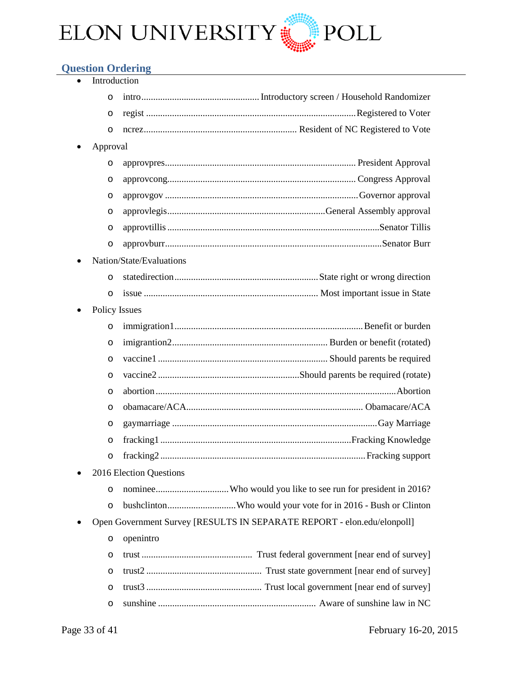

## <span id="page-32-0"></span>**Question Ordering**

| Introduction         |                                                                         |
|----------------------|-------------------------------------------------------------------------|
| O                    |                                                                         |
| O                    |                                                                         |
| O                    |                                                                         |
| Approval             |                                                                         |
| O                    |                                                                         |
| O                    |                                                                         |
| O                    |                                                                         |
| O                    |                                                                         |
| O                    |                                                                         |
| O                    |                                                                         |
|                      | Nation/State/Evaluations                                                |
| $\circ$              |                                                                         |
| $\circ$              |                                                                         |
| <b>Policy Issues</b> |                                                                         |
| O                    |                                                                         |
| $\circ$              |                                                                         |
| $\circ$              |                                                                         |
| $\circ$              |                                                                         |
| $\circ$              |                                                                         |
| O                    |                                                                         |
| O                    |                                                                         |
| $\circ$              |                                                                         |
| O                    |                                                                         |
|                      | 2016 Election Questions                                                 |
| O                    |                                                                         |
| O                    |                                                                         |
|                      | Open Government Survey [RESULTS IN SEPARATE REPORT - elon.edu/elonpoll] |
| O                    | openintro                                                               |
| O                    |                                                                         |
| O                    |                                                                         |
| O                    |                                                                         |
| O                    |                                                                         |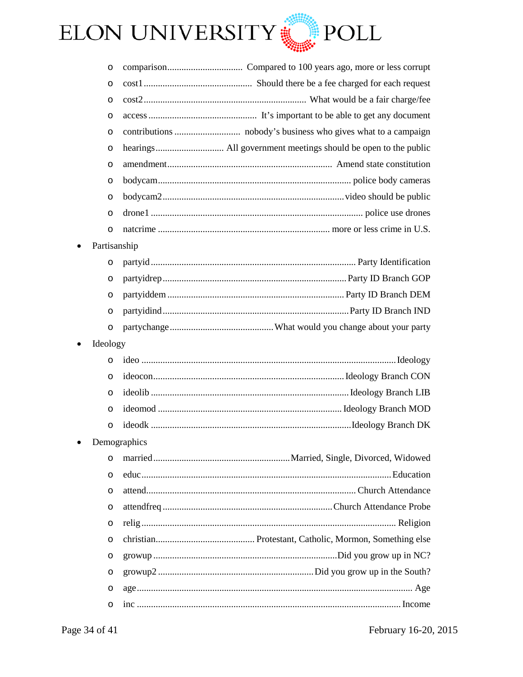

| O            |              |
|--------------|--------------|
| O            |              |
| O            |              |
| O            |              |
| O            |              |
| $\circ$      |              |
| O            |              |
| O            |              |
| $\circ$      |              |
| $\circ$      |              |
| $\circ$      |              |
| Partisanship |              |
| $\circ$      |              |
| O            |              |
| $\circ$      |              |
| O            |              |
| O            |              |
| Ideology     |              |
| $\circ$      |              |
| $\circ$      |              |
| $\circ$      |              |
| $\circ$      |              |
| $\circ$      |              |
|              | Demographics |
|              |              |
| $\circ$      |              |
| $\circ$      |              |
| O            |              |
| O            |              |
| O            |              |
| O            |              |
| O            |              |
| $\circ$      |              |
| O            |              |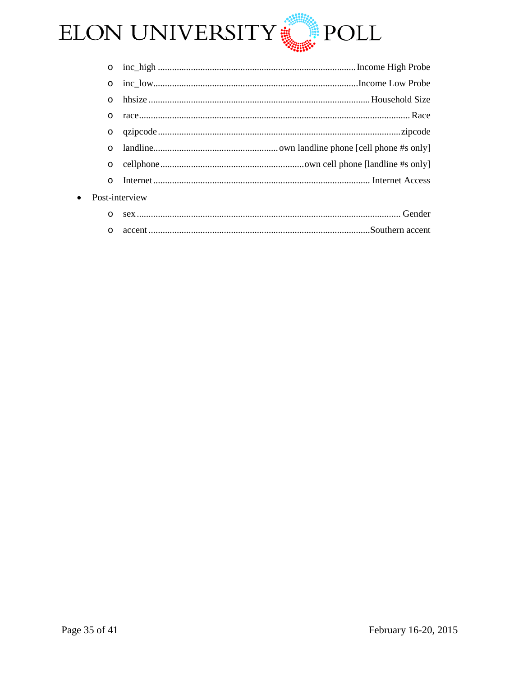

| $\circ$                     |  |                                           |  |  |  |  |
|-----------------------------|--|-------------------------------------------|--|--|--|--|
| $\circ$                     |  |                                           |  |  |  |  |
| $\circ$                     |  |                                           |  |  |  |  |
| $\circ$                     |  |                                           |  |  |  |  |
| $\circ$                     |  |                                           |  |  |  |  |
| $\Omega$                    |  |                                           |  |  |  |  |
| $\circ$                     |  |                                           |  |  |  |  |
| $\circ$                     |  |                                           |  |  |  |  |
| Post-interview<br>$\bullet$ |  |                                           |  |  |  |  |
|                             |  | $\sim$ $\sim$ $\sim$ $\sim$ $\sim$ $\sim$ |  |  |  |  |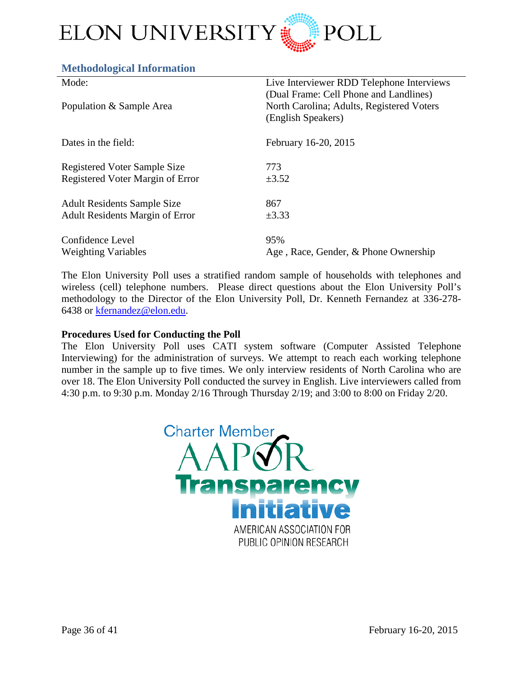

#### <span id="page-35-0"></span>**Methodological Information**

| Mode:                                  | Live Interviewer RDD Telephone Interviews |
|----------------------------------------|-------------------------------------------|
|                                        | (Dual Frame: Cell Phone and Landlines)    |
| Population & Sample Area               | North Carolina; Adults, Registered Voters |
|                                        | (English Speakers)                        |
| Dates in the field:                    | February 16-20, 2015                      |
|                                        |                                           |
| <b>Registered Voter Sample Size</b>    | 773                                       |
| Registered Voter Margin of Error       | $\pm 3.52$                                |
| <b>Adult Residents Sample Size</b>     | 867                                       |
| <b>Adult Residents Margin of Error</b> | $\pm 3.33$                                |
| Confidence Level                       | 95%                                       |
| <b>Weighting Variables</b>             | Age, Race, Gender, & Phone Ownership      |
|                                        |                                           |

The Elon University Poll uses a stratified random sample of households with telephones and wireless (cell) telephone numbers. Please direct questions about the Elon University Poll's methodology to the Director of the Elon University Poll, Dr. Kenneth Fernandez at 336-278- 6438 or [kfernandez@elon.edu.](mailto:kfernandez@elon.edu)

#### **Procedures Used for Conducting the Poll**

The Elon University Poll uses CATI system software (Computer Assisted Telephone Interviewing) for the administration of surveys. We attempt to reach each working telephone number in the sample up to five times. We only interview residents of North Carolina who are over 18. The Elon University Poll conducted the survey in English. Live interviewers called from 4:30 p.m. to 9:30 p.m. Monday 2/16 Through Thursday 2/19; and 3:00 to 8:00 on Friday 2/20.

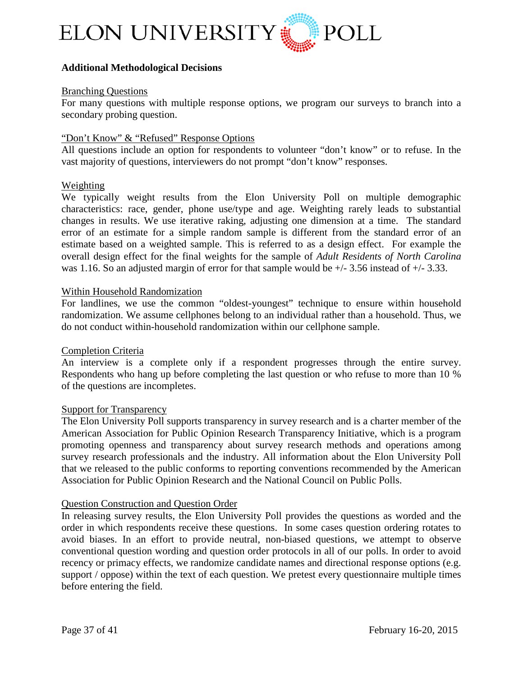

#### **Additional Methodological Decisions**

#### Branching Questions

For many questions with multiple response options, we program our surveys to branch into a secondary probing question.

#### "Don't Know" & "Refused" Response Options

All questions include an option for respondents to volunteer "don't know" or to refuse. In the vast majority of questions, interviewers do not prompt "don't know" responses.

#### Weighting

We typically weight results from the Elon University Poll on multiple demographic characteristics: race, gender, phone use/type and age. Weighting rarely leads to substantial changes in results. We use iterative raking, adjusting one dimension at a time. The standard error of an estimate for a simple random sample is different from the standard error of an estimate based on a weighted sample. This is referred to as a design effect. For example the overall design effect for the final weights for the sample of *Adult Residents of North Carolina* was 1.16. So an adjusted margin of error for that sample would be  $+/- 3.56$  instead of  $+/- 3.33$ .

#### Within Household Randomization

For landlines, we use the common "oldest-youngest" technique to ensure within household randomization. We assume cellphones belong to an individual rather than a household. Thus, we do not conduct within-household randomization within our cellphone sample.

#### Completion Criteria

An interview is a complete only if a respondent progresses through the entire survey. Respondents who hang up before completing the last question or who refuse to more than 10 % of the questions are incompletes.

#### **Support for Transparency**

The Elon University Poll supports transparency in survey research and is a charter member of the American Association for Public Opinion Research Transparency Initiative, which is a program promoting openness and transparency about survey research methods and operations among survey research professionals and the industry. All information about the Elon University Poll that we released to the public conforms to reporting conventions recommended by the American Association for Public Opinion Research and the National Council on Public Polls.

#### Question Construction and Question Order

In releasing survey results, the Elon University Poll provides the questions as worded and the order in which respondents receive these questions. In some cases question ordering rotates to avoid biases. In an effort to provide neutral, non-biased questions, we attempt to observe conventional question wording and question order protocols in all of our polls. In order to avoid recency or primacy effects, we randomize candidate names and directional response options (e.g. support / oppose) within the text of each question. We pretest every questionnaire multiple times before entering the field.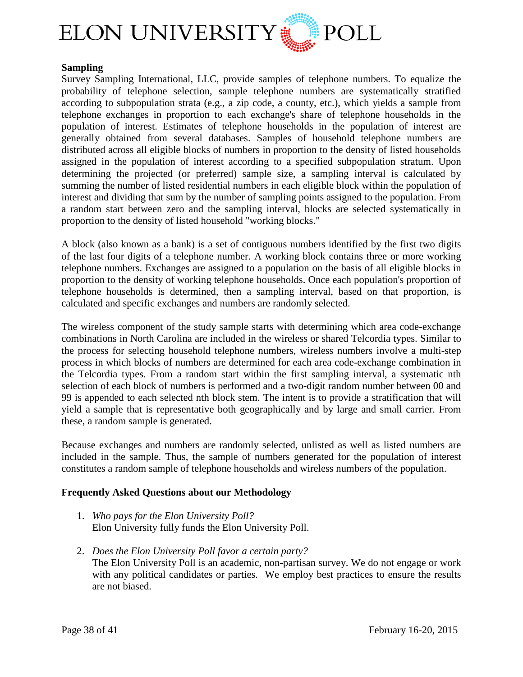

#### **Sampling**

Survey Sampling International, LLC, provide samples of telephone numbers. To equalize the probability of telephone selection, sample telephone numbers are systematically stratified according to subpopulation strata (e.g., a zip code, a county, etc.), which yields a sample from telephone exchanges in proportion to each exchange's share of telephone households in the population of interest. Estimates of telephone households in the population of interest are generally obtained from several databases. Samples of household telephone numbers are distributed across all eligible blocks of numbers in proportion to the density of listed households assigned in the population of interest according to a specified subpopulation stratum. Upon determining the projected (or preferred) sample size, a sampling interval is calculated by summing the number of listed residential numbers in each eligible block within the population of interest and dividing that sum by the number of sampling points assigned to the population. From a random start between zero and the sampling interval, blocks are selected systematically in proportion to the density of listed household "working blocks."

A block (also known as a bank) is a set of contiguous numbers identified by the first two digits of the last four digits of a telephone number. A working block contains three or more working telephone numbers. Exchanges are assigned to a population on the basis of all eligible blocks in proportion to the density of working telephone households. Once each population's proportion of telephone households is determined, then a sampling interval, based on that proportion, is calculated and specific exchanges and numbers are randomly selected.

The wireless component of the study sample starts with determining which area code-exchange combinations in North Carolina are included in the wireless or shared Telcordia types. Similar to the process for selecting household telephone numbers, wireless numbers involve a multi-step process in which blocks of numbers are determined for each area code-exchange combination in the Telcordia types. From a random start within the first sampling interval, a systematic nth selection of each block of numbers is performed and a two-digit random number between 00 and 99 is appended to each selected nth block stem. The intent is to provide a stratification that will yield a sample that is representative both geographically and by large and small carrier. From these, a random sample is generated.

Because exchanges and numbers are randomly selected, unlisted as well as listed numbers are included in the sample. Thus, the sample of numbers generated for the population of interest constitutes a random sample of telephone households and wireless numbers of the population.

#### **Frequently Asked Questions about our Methodology**

- 1. *Who pays for the Elon University Poll?* Elon University fully funds the Elon University Poll.
- 2. *Does the Elon University Poll favor a certain party?* The Elon University Poll is an academic, non-partisan survey. We do not engage or work with any political candidates or parties. We employ best practices to ensure the results are not biased.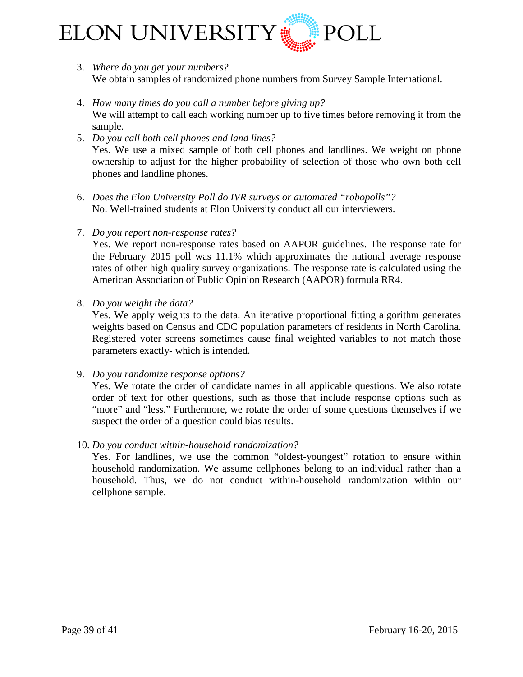

- 3. *Where do you get your numbers?* We obtain samples of randomized phone numbers from Survey Sample International.
- 4. *How many times do you call a number before giving up?* We will attempt to call each working number up to five times before removing it from the sample.
- 5. *Do you call both cell phones and land lines?* Yes. We use a mixed sample of both cell phones and landlines. We weight on phone ownership to adjust for the higher probability of selection of those who own both cell phones and landline phones.
- 6. *Does the Elon University Poll do IVR surveys or automated "robopolls"?* No. Well-trained students at Elon University conduct all our interviewers.
- 7. *Do you report non-response rates?*

Yes. We report non-response rates based on AAPOR guidelines. The response rate for the February 2015 poll was 11.1% which approximates the national average response rates of other high quality survey organizations. The response rate is calculated using the American Association of Public Opinion Research (AAPOR) formula RR4.

8. *Do you weight the data?*

Yes. We apply weights to the data. An iterative proportional fitting algorithm generates weights based on Census and CDC population parameters of residents in North Carolina. Registered voter screens sometimes cause final weighted variables to not match those parameters exactly- which is intended.

9. *Do you randomize response options?*

Yes. We rotate the order of candidate names in all applicable questions. We also rotate order of text for other questions, such as those that include response options such as "more" and "less." Furthermore, we rotate the order of some questions themselves if we suspect the order of a question could bias results.

10. *Do you conduct within-household randomization?*

Yes. For landlines, we use the common "oldest-youngest" rotation to ensure within household randomization. We assume cellphones belong to an individual rather than a household. Thus, we do not conduct within-household randomization within our cellphone sample.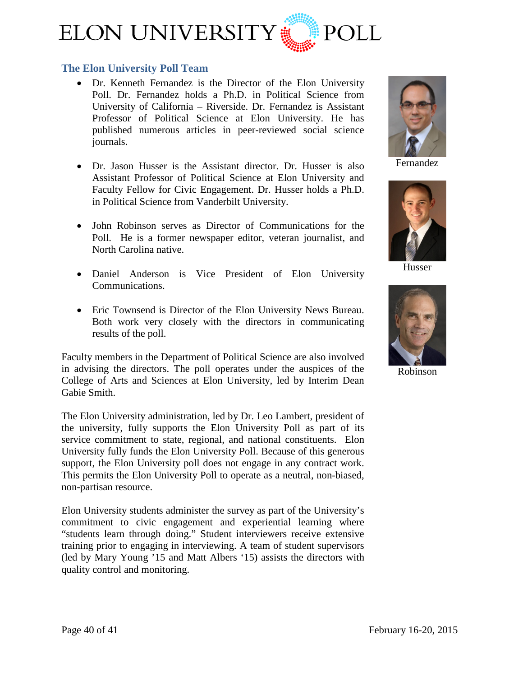

## <span id="page-39-0"></span>**The Elon University Poll Team**

- [Dr. Kenneth Fernandez](http://www.elon.edu/directories/profile/?user=kfernandez) is the Director of the Elon University Poll. Dr. Fernandez holds a Ph.D. in Political Science from University of California – Riverside. Dr. Fernandez is Assistant Professor of Political Science at Elon University. He has published numerous articles in peer-reviewed social science journals.
- [Dr. Jason Husser](http://www.elon.edu/directories/profile/?user=jhusser) is the Assistant director. Dr. Husser is also Assistant Professor of Political Science at Elon University and Faculty Fellow for Civic Engagement. Dr. Husser holds a Ph.D. in Political Science from Vanderbilt University.
- John Robinson serves as Director of Communications for the Poll. He is a former newspaper editor, veteran journalist, and North Carolina native.
- Daniel Anderson is Vice President of Elon University Communications.
- Eric Townsend is Director of the Elon University News Bureau. Both work very closely with the directors in communicating results of the poll.

Faculty members in the Department of Political Science are also involved in advising the directors. The poll operates under the auspices of the College of Arts and Sciences at Elon University, led by Interim Dean Gabie Smith.

The Elon University administration, led by Dr. Leo Lambert, president of the university, fully supports the Elon University Poll as part of its service commitment to state, regional, and national constituents. Elon University fully funds the Elon University Poll. Because of this generous support, the Elon University poll does not engage in any contract work. This permits the Elon University Poll to operate as a neutral, non-biased, non-partisan resource.

Elon University students administer the survey as part of the University's commitment to civic engagement and experiential learning where "students learn through doing." Student interviewers receive extensive training prior to engaging in interviewing. A team of student supervisors (led by Mary Young '15 and Matt Albers '15) assists the directors with quality control and monitoring.



Fernandez



Husser



Robinson